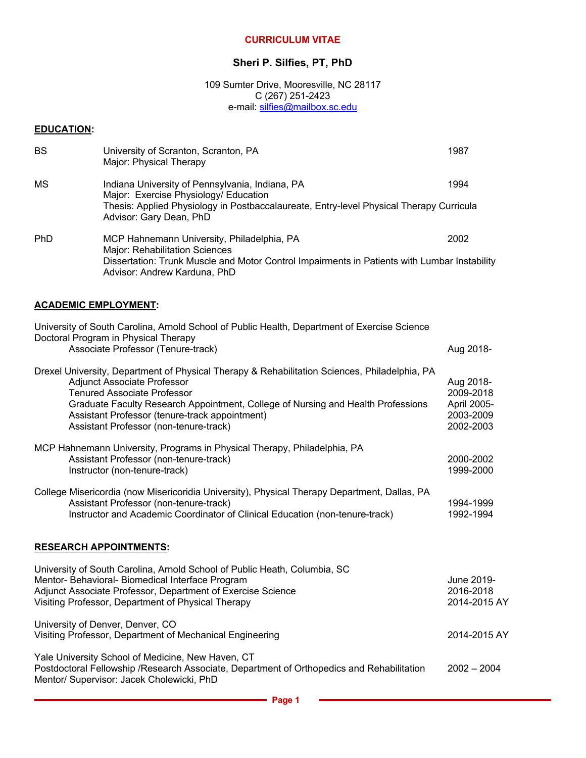# **CURRICULUM VITAE**

# **Sheri P. Silfies, PT, PhD**

109 Sumter Drive, Mooresville, NC 28117 C (267) 251-2423 e-mail: silfies@mailbox.sc.edu

# **EDUCATION:**

| <b>BS</b>                   | University of Scranton, Scranton, PA<br>Major: Physical Therapy                                                                                                                                                                                                                                                                                    | 1987                                                            |
|-----------------------------|----------------------------------------------------------------------------------------------------------------------------------------------------------------------------------------------------------------------------------------------------------------------------------------------------------------------------------------------------|-----------------------------------------------------------------|
| МS                          | Indiana University of Pennsylvania, Indiana, PA<br>Major: Exercise Physiology/ Education<br>Thesis: Applied Physiology in Postbaccalaureate, Entry-level Physical Therapy Curricula<br>Advisor: Gary Dean, PhD                                                                                                                                     | 1994                                                            |
| <b>PhD</b>                  | MCP Hahnemann University, Philadelphia, PA<br>Major: Rehabilitation Sciences<br>Dissertation: Trunk Muscle and Motor Control Impairments in Patients with Lumbar Instability<br>Advisor: Andrew Karduna, PhD                                                                                                                                       | 2002                                                            |
| <b>ACADEMIC EMPLOYMENT:</b> |                                                                                                                                                                                                                                                                                                                                                    |                                                                 |
|                             | University of South Carolina, Arnold School of Public Health, Department of Exercise Science<br>Doctoral Program in Physical Therapy<br>Associate Professor (Tenure-track)                                                                                                                                                                         | Aug 2018-                                                       |
|                             | Drexel University, Department of Physical Therapy & Rehabilitation Sciences, Philadelphia, PA<br>Adjunct Associate Professor<br><b>Tenured Associate Professor</b><br>Graduate Faculty Research Appointment, College of Nursing and Health Professions<br>Assistant Professor (tenure-track appointment)<br>Assistant Professor (non-tenure-track) | Aug 2018-<br>2009-2018<br>April 2005-<br>2003-2009<br>2002-2003 |
|                             | MCP Hahnemann University, Programs in Physical Therapy, Philadelphia, PA<br>Assistant Professor (non-tenure-track)<br>Instructor (non-tenure-track)                                                                                                                                                                                                | 2000-2002<br>1999-2000                                          |
|                             | College Misericordia (now Misericoridia University), Physical Therapy Department, Dallas, PA<br>Assistant Professor (non-tenure-track)<br>Instructor and Academic Coordinator of Clinical Education (non-tenure-track)                                                                                                                             | 1994-1999<br>1992-1994                                          |
|                             | <b>RESEARCH APPOINTMENTS:</b>                                                                                                                                                                                                                                                                                                                      |                                                                 |
|                             | University of South Carolina, Arnold School of Public Heath, Columbia, SC<br>Mentor- Behavioral- Biomedical Interface Program<br>Adjunct Associate Professor, Department of Exercise Science<br>Visiting Professor, Department of Physical Therapy                                                                                                 | June 2019-<br>2016-2018<br>2014-2015 AY                         |

University of Denver, Denver, CO Visiting Professor, Department of Mechanical Engineering 2014-2015 AY Yale University School of Medicine, New Haven, CT

Postdoctoral Fellowship /Research Associate, Department of Orthopedics and Rehabilitation 2002 – 2004 Mentor/ Supervisor: Jacek Cholewicki, PhD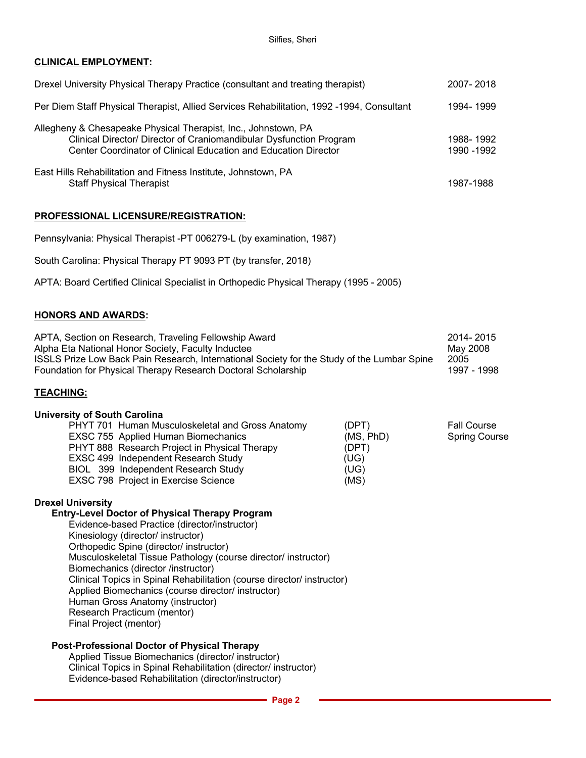# **CLINICAL EMPLOYMENT:**

| Drexel University Physical Therapy Practice (consultant and treating therapist)                                                                                                                          | 2007-2018                |
|----------------------------------------------------------------------------------------------------------------------------------------------------------------------------------------------------------|--------------------------|
| Per Diem Staff Physical Therapist, Allied Services Rehabilitation, 1992 -1994, Consultant                                                                                                                | 1994-1999                |
| Allegheny & Chesapeake Physical Therapist, Inc., Johnstown, PA<br>Clinical Director/ Director of Craniomandibular Dysfunction Program<br>Center Coordinator of Clinical Education and Education Director | 1988-1992<br>1990 - 1992 |
| East Hills Rehabilitation and Fitness Institute, Johnstown, PA<br><b>Staff Physical Therapist</b>                                                                                                        | 1987-1988                |

# **PROFESSIONAL LICENSURE/REGISTRATION:**

Pennsylvania: Physical Therapist -PT 006279-L (by examination, 1987)

South Carolina: Physical Therapy PT 9093 PT (by transfer, 2018)

APTA: Board Certified Clinical Specialist in Orthopedic Physical Therapy (1995 - 2005)

# **HONORS AND AWARDS:**

| APTA, Section on Research, Traveling Fellowship Award                                       | 2014-2015   |
|---------------------------------------------------------------------------------------------|-------------|
| Alpha Eta National Honor Society, Faculty Inductee                                          | May 2008    |
| ISSLS Prize Low Back Pain Research, International Society for the Study of the Lumbar Spine | 2005        |
| Foundation for Physical Therapy Research Doctoral Scholarship                               | 1997 - 1998 |

# **TEACHING:**

# **University of South Carolina**

| PHYT 701 Human Musculoskeletal and Gross Anatomy | (DPT)     | <b>Fall Course</b>   |
|--------------------------------------------------|-----------|----------------------|
| <b>EXSC 755 Applied Human Biomechanics</b>       | (MS, PhD) | <b>Spring Course</b> |
| PHYT 888 Research Project in Physical Therapy    | (DPT)     |                      |
| EXSC 499 Independent Research Study              | (UG)      |                      |
| BIOL 399 Independent Research Study              | (UG)      |                      |
| <b>EXSC 798 Project in Exercise Science</b>      | (MS)      |                      |
|                                                  |           |                      |

# **Drexel University**

# **Entry-Level Doctor of Physical Therapy Program**

Evidence-based Practice (director/instructor) Kinesiology (director/ instructor) Orthopedic Spine (director/ instructor) Musculoskeletal Tissue Pathology (course director/ instructor) Biomechanics (director /instructor) Clinical Topics in Spinal Rehabilitation (course director/ instructor) Applied Biomechanics (course director/ instructor) Human Gross Anatomy (instructor) Research Practicum (mentor) Final Project (mentor)

# **Post-Professional Doctor of Physical Therapy**

Applied Tissue Biomechanics (director/ instructor) Clinical Topics in Spinal Rehabilitation (director/ instructor) Evidence-based Rehabilitation (director/instructor)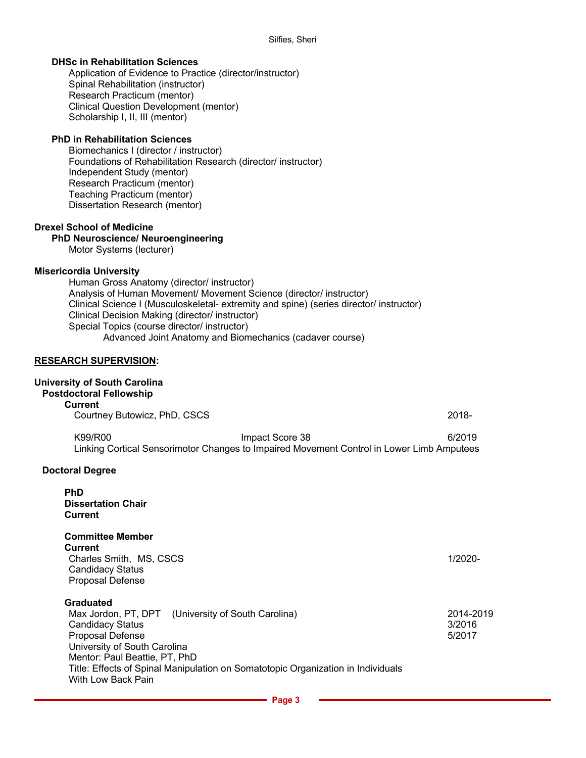# **DHSc in Rehabilitation Sciences**

Application of Evidence to Practice (director/instructor) Spinal Rehabilitation (instructor) Research Practicum (mentor) Clinical Question Development (mentor) Scholarship I, II, III (mentor)

# **PhD in Rehabilitation Sciences**

Biomechanics I (director / instructor) Foundations of Rehabilitation Research (director/ instructor) Independent Study (mentor) Research Practicum (mentor) Teaching Practicum (mentor) Dissertation Research (mentor)

# **Drexel School of Medicine**

# **PhD Neuroscience/ Neuroengineering**

Motor Systems (lecturer)

# **Misericordia University**

Human Gross Anatomy (director/ instructor) Analysis of Human Movement/ Movement Science (director/ instructor) Clinical Science I (Musculoskeletal- extremity and spine) (series director/ instructor) Clinical Decision Making (director/ instructor) Special Topics (course director/ instructor) Advanced Joint Anatomy and Biomechanics (cadaver course)

# **RESEARCH SUPERVISION:**

# **University of South Carolina**

# **Postdoctoral Fellowship**

**Current Courtney Butowicz, PhD, CSCS** 2018-

K99/R00 **Impact Score 38** 6/2019 Linking Cortical Sensorimotor Changes to Impaired Movement Control in Lower Limb Amputees

# **Doctoral Degree**

**PhD Dissertation Chair Current**

# **Committee Member**

**Current** Charles Smith, MS, CSCS 1/2020- Candidacy Status Proposal Defense

# **Graduated**

Max Jordon, PT, DPT (University of South Carolina) 2014-2019 Candidacy Status 3/2016 Proposal Defense 5/2017 University of South Carolina Mentor: Paul Beattie, PT, PhD Title: Effects of Spinal Manipulation on Somatotopic Organization in Individuals With Low Back Pain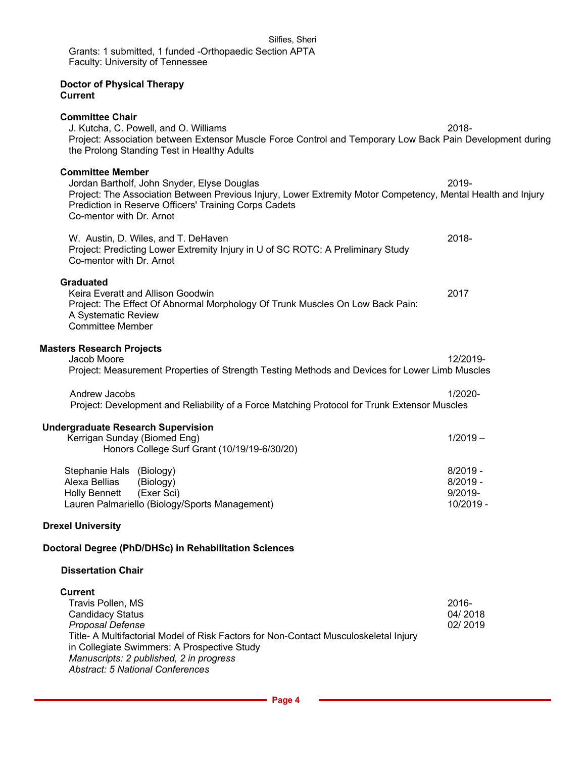| Grants: 1 submitted, 1 funded -Orthopaedic Section APTA<br>Faculty: University of Tennessee                                                                                                                                                                                                                     |                                                  |
|-----------------------------------------------------------------------------------------------------------------------------------------------------------------------------------------------------------------------------------------------------------------------------------------------------------------|--------------------------------------------------|
| <b>Doctor of Physical Therapy</b><br><b>Current</b>                                                                                                                                                                                                                                                             |                                                  |
| <b>Committee Chair</b><br>J. Kutcha, C. Powell, and O. Williams<br>Project: Association between Extensor Muscle Force Control and Temporary Low Back Pain Development during<br>the Prolong Standing Test in Healthy Adults                                                                                     | 2018-                                            |
| <b>Committee Member</b><br>Jordan Bartholf, John Snyder, Elyse Douglas<br>Project: The Association Between Previous Injury, Lower Extremity Motor Competency, Mental Health and Injury<br>Prediction in Reserve Officers' Training Corps Cadets<br>Co-mentor with Dr. Arnot                                     | 2019-                                            |
| W. Austin, D. Wiles, and T. DeHaven<br>Project: Predicting Lower Extremity Injury in U of SC ROTC: A Preliminary Study<br>Co-mentor with Dr. Arnot                                                                                                                                                              | 2018-                                            |
| <b>Graduated</b><br>Keira Everatt and Allison Goodwin<br>Project: The Effect Of Abnormal Morphology Of Trunk Muscles On Low Back Pain:<br>A Systematic Review<br><b>Committee Member</b>                                                                                                                        | 2017                                             |
| <b>Masters Research Projects</b><br>Jacob Moore<br>Project: Measurement Properties of Strength Testing Methods and Devices for Lower Limb Muscles                                                                                                                                                               | 12/2019-                                         |
| Andrew Jacobs<br>Project: Development and Reliability of a Force Matching Protocol for Trunk Extensor Muscles                                                                                                                                                                                                   | 1/2020-                                          |
| <b>Undergraduate Research Supervision</b><br>Kerrigan Sunday (Biomed Eng)<br>Honors College Surf Grant (10/19/19-6/30/20)                                                                                                                                                                                       | $1/2019 -$                                       |
| Stephanie Hals (Biology)<br>Alexa Bellias<br>(Biology)<br>(Exer Sci)<br><b>Holly Bennett</b><br>Lauren Palmariello (Biology/Sports Management)                                                                                                                                                                  | $8/2019 -$<br>$8/2019 -$<br>9/2019-<br>10/2019 - |
| <b>Drexel University</b>                                                                                                                                                                                                                                                                                        |                                                  |
| Doctoral Degree (PhD/DHSc) in Rehabilitation Sciences                                                                                                                                                                                                                                                           |                                                  |
| <b>Dissertation Chair</b>                                                                                                                                                                                                                                                                                       |                                                  |
| <b>Current</b><br>Travis Pollen, MS<br><b>Candidacy Status</b><br>Proposal Defense<br>Title- A Multifactorial Model of Risk Factors for Non-Contact Musculoskeletal Injury<br>in Collegiate Swimmers: A Prospective Study<br>Manuscripts: 2 published, 2 in progress<br><b>Abstract: 5 National Conferences</b> | 2016-<br>04/2018<br>02/2019                      |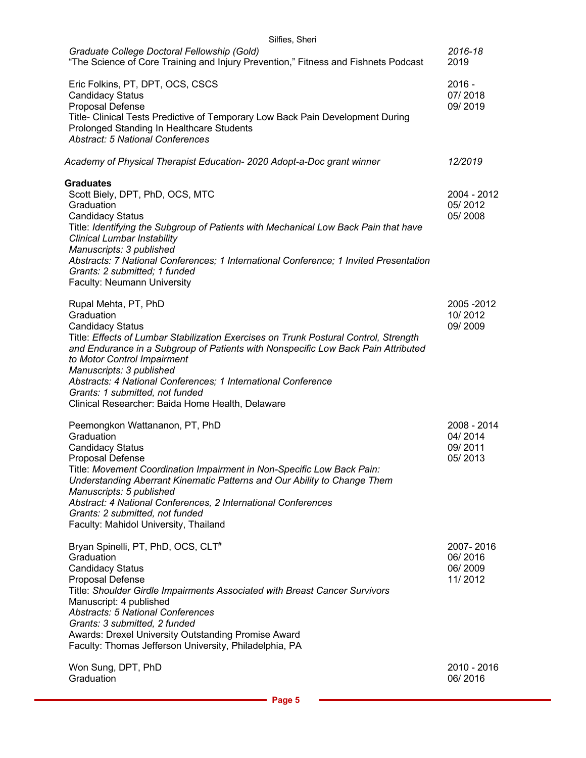| Silfies, Sheri                                                                                                                                                                                                                                                                                                                                                                                                                                                |                                              |
|---------------------------------------------------------------------------------------------------------------------------------------------------------------------------------------------------------------------------------------------------------------------------------------------------------------------------------------------------------------------------------------------------------------------------------------------------------------|----------------------------------------------|
| Graduate College Doctoral Fellowship (Gold)<br>"The Science of Core Training and Injury Prevention," Fitness and Fishnets Podcast                                                                                                                                                                                                                                                                                                                             | 2016-18<br>2019                              |
| Eric Folkins, PT, DPT, OCS, CSCS<br><b>Candidacy Status</b><br>Proposal Defense<br>Title- Clinical Tests Predictive of Temporary Low Back Pain Development During<br>Prolonged Standing In Healthcare Students<br><b>Abstract: 5 National Conferences</b>                                                                                                                                                                                                     | $2016 -$<br>07/2018<br>09/2019               |
| Academy of Physical Therapist Education- 2020 Adopt-a-Doc grant winner                                                                                                                                                                                                                                                                                                                                                                                        | 12/2019                                      |
| <b>Graduates</b><br>Scott Biely, DPT, PhD, OCS, MTC<br>Graduation<br><b>Candidacy Status</b><br>Title: Identifying the Subgroup of Patients with Mechanical Low Back Pain that have<br>Clinical Lumbar Instability<br>Manuscripts: 3 published<br>Abstracts: 7 National Conferences; 1 International Conference; 1 Invited Presentation<br>Grants: 2 submitted; 1 funded<br>Faculty: Neumann University                                                       | 2004 - 2012<br>05/2012<br>05/2008            |
| Rupal Mehta, PT, PhD<br>Graduation<br><b>Candidacy Status</b><br>Title: Effects of Lumbar Stabilization Exercises on Trunk Postural Control, Strength<br>and Endurance in a Subgroup of Patients with Nonspecific Low Back Pain Attributed<br>to Motor Control Impairment<br>Manuscripts: 3 published<br>Abstracts: 4 National Conferences; 1 International Conference<br>Grants: 1 submitted, not funded<br>Clinical Researcher: Baida Home Health, Delaware | 2005 - 2012<br>10/2012<br>09/2009            |
| Peemongkon Wattananon, PT, PhD<br>Graduation<br><b>Candidacy Status</b><br>Proposal Defense<br>Title: Movement Coordination Impairment in Non-Specific Low Back Pain:<br>Understanding Aberrant Kinematic Patterns and Our Ability to Change Them<br>Manuscripts: 5 published<br>Abstract: 4 National Conferences, 2 International Conferences<br>Grants: 2 submitted, not funded<br>Faculty: Mahidol University, Thailand                                    | 2008 - 2014<br>04/2014<br>09/2011<br>05/2013 |
| Bryan Spinelli, PT, PhD, OCS, CLT#<br>Graduation<br><b>Candidacy Status</b><br>Proposal Defense<br>Title: Shoulder Girdle Impairments Associated with Breast Cancer Survivors<br>Manuscript: 4 published<br><b>Abstracts: 5 National Conferences</b><br>Grants: 3 submitted, 2 funded<br>Awards: Drexel University Outstanding Promise Award<br>Faculty: Thomas Jefferson University, Philadelphia, PA                                                        | 2007-2016<br>06/2016<br>06/2009<br>11/2012   |
| Won Sung, DPT, PhD<br>Graduation                                                                                                                                                                                                                                                                                                                                                                                                                              | 2010 - 2016<br>06/2016                       |

**Page 5**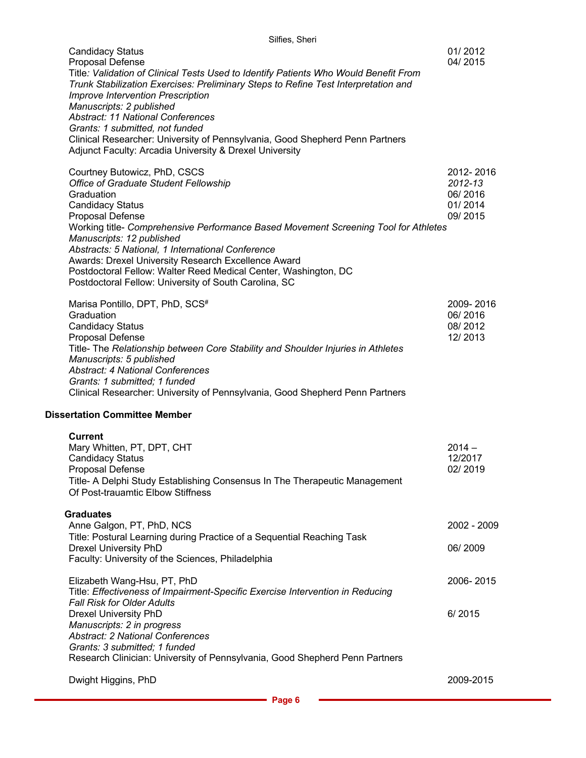| <b>Candidacy Status</b><br>Proposal Defense<br>Title: Validation of Clinical Tests Used to Identify Patients Who Would Benefit From<br>Trunk Stabilization Exercises: Preliminary Steps to Refine Test Interpretation and<br><b>Improve Intervention Prescription</b><br>Manuscripts: 2 published<br><b>Abstract: 11 National Conferences</b><br>Grants: 1 submitted, not funded<br>Clinical Researcher: University of Pennsylvania, Good Shepherd Penn Partners<br>Adjunct Faculty: Arcadia University & Drexel University | 01/2012<br>04/2015                                    |
|-----------------------------------------------------------------------------------------------------------------------------------------------------------------------------------------------------------------------------------------------------------------------------------------------------------------------------------------------------------------------------------------------------------------------------------------------------------------------------------------------------------------------------|-------------------------------------------------------|
| Courtney Butowicz, PhD, CSCS<br>Office of Graduate Student Fellowship<br>Graduation<br>Candidacy Status<br>Proposal Defense<br>Working title- Comprehensive Performance Based Movement Screening Tool for Athletes<br>Manuscripts: 12 published<br>Abstracts: 5 National, 1 International Conference<br>Awards: Drexel University Research Excellence Award<br>Postdoctoral Fellow: Walter Reed Medical Center, Washington, DC<br>Postdoctoral Fellow: University of South Carolina, SC                                     | 2012-2016<br>2012-13<br>06/2016<br>01/2014<br>09/2015 |
| Marisa Pontillo, DPT, PhD, SCS#<br>Graduation<br>Candidacy Status<br>Proposal Defense<br>Title- The Relationship between Core Stability and Shoulder Injuries in Athletes<br>Manuscripts: 5 published<br><b>Abstract: 4 National Conferences</b><br>Grants: 1 submitted; 1 funded<br>Clinical Researcher: University of Pennsylvania, Good Shepherd Penn Partners                                                                                                                                                           | 2009-2016<br>06/2016<br>08/2012<br>12/2013            |
| rtation Committee Member                                                                                                                                                                                                                                                                                                                                                                                                                                                                                                    |                                                       |

# **Disse**

| Current<br>Mary Whitten, PT, DPT, CHT<br><b>Candidacy Status</b><br>Proposal Defense<br>Title- A Delphi Study Establishing Consensus In The Therapeutic Management<br>Of Post-trauamtic Elbow Stiffness | $2014 -$<br>12/2017<br>02/2019 |
|---------------------------------------------------------------------------------------------------------------------------------------------------------------------------------------------------------|--------------------------------|
| <b>Graduates</b>                                                                                                                                                                                        |                                |
| Anne Galgon, PT, PhD, NCS                                                                                                                                                                               | 2002 - 2009                    |
| Title: Postural Learning during Practice of a Sequential Reaching Task<br><b>Drexel University PhD</b>                                                                                                  | 06/2009                        |
| Faculty: University of the Sciences, Philadelphia                                                                                                                                                       |                                |
| Elizabeth Wang-Hsu, PT, PhD                                                                                                                                                                             | 2006-2015                      |
| Title: Effectiveness of Impairment-Specific Exercise Intervention in Reducing                                                                                                                           |                                |
| <b>Fall Risk for Older Adults</b>                                                                                                                                                                       | 6/2015                         |
| <b>Drexel University PhD</b><br>Manuscripts: 2 in progress                                                                                                                                              |                                |
| <b>Abstract: 2 National Conferences</b>                                                                                                                                                                 |                                |
| Grants: 3 submitted; 1 funded                                                                                                                                                                           |                                |
| Research Clinician: University of Pennsylvania, Good Shepherd Penn Partners                                                                                                                             |                                |
| Dwight Higgins, PhD                                                                                                                                                                                     | 2009-2015                      |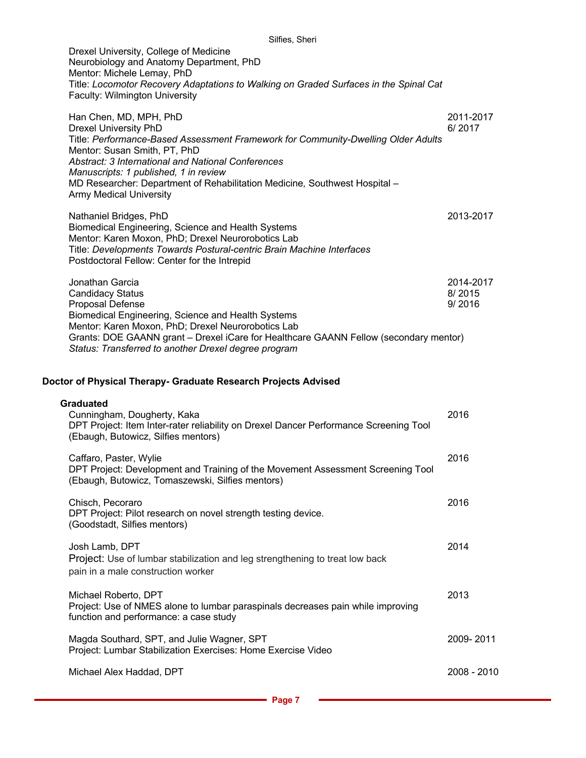Drexel University, College of Medicine Neurobiology and Anatomy Department, PhD Mentor: Michele Lemay, PhD Title: *Locomotor Recovery Adaptations to Walking on Graded Surfaces in the Spinal Cat* Faculty: Wilmington University

Han Chen, MD, MPH, PhD 2011-2017 Drexel University PhD 6/ 2017 Title: *Performance-Based Assessment Framework for Community-Dwelling Older Adults* Mentor: Susan Smith, PT, PhD *Abstract: 3 International and National Conferences Manuscripts: 1 published, 1 in review* MD Researcher: Department of Rehabilitation Medicine*,* Southwest Hospital – Army Medical University

Nathaniel Bridges, PhD 2013-2017 Biomedical Engineering, Science and Health Systems Mentor: Karen Moxon, PhD; Drexel Neurorobotics Lab Title: *Developments Towards Postural-centric Brain Machine Interfaces* Postdoctoral Fellow: Center for the Intrepid

Jonathan Garcia 2014-2017 Candidacy Status 8/ 2015 Proposal Defense 9/ 2016 Biomedical Engineering, Science and Health Systems Mentor: Karen Moxon, PhD; Drexel Neurorobotics Lab Grants: DOE GAANN grant – Drexel iCare for Healthcare GAANN Fellow (secondary mentor) *Status: Transferred to another Drexel degree program*

# **Doctor of Physical Therapy- Graduate Research Projects Advised**

| Graduated<br>Cunningham, Dougherty, Kaka<br>DPT Project: Item Inter-rater reliability on Drexel Dancer Performance Screening Tool<br>(Ebaugh, Butowicz, Silfies mentors) | 2016        |
|--------------------------------------------------------------------------------------------------------------------------------------------------------------------------|-------------|
| Caffaro, Paster, Wylie<br>DPT Project: Development and Training of the Movement Assessment Screening Tool<br>(Ebaugh, Butowicz, Tomaszewski, Silfies mentors)            | 2016        |
| Chisch, Pecoraro<br>DPT Project: Pilot research on novel strength testing device.<br>(Goodstadt, Silfies mentors)                                                        | 2016        |
| Josh Lamb, DPT<br>Project: Use of lumbar stabilization and leg strengthening to treat low back<br>pain in a male construction worker                                     | 2014        |
| Michael Roberto, DPT<br>Project: Use of NMES alone to lumbar paraspinals decreases pain while improving<br>function and performance: a case study                        | 2013        |
| Magda Southard, SPT, and Julie Wagner, SPT<br>Project: Lumbar Stabilization Exercises: Home Exercise Video                                                               | 2009-2011   |
| Michael Alex Haddad, DPT                                                                                                                                                 | 2008 - 2010 |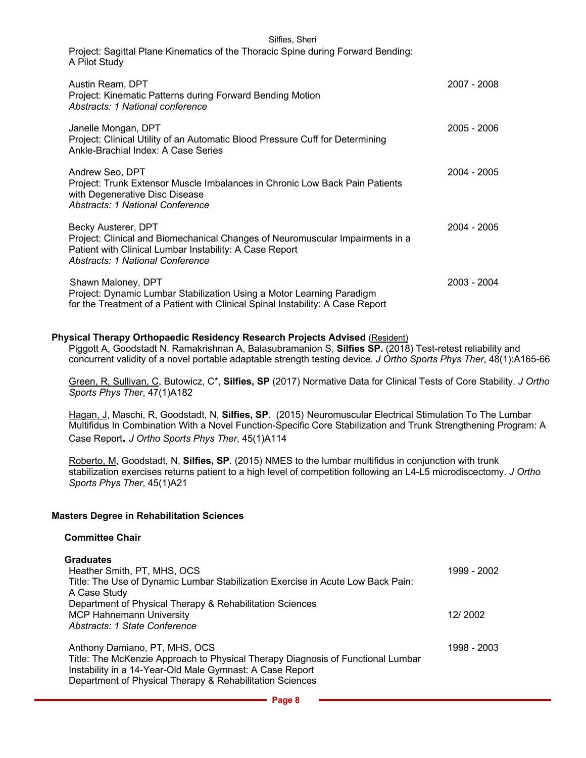Project: Sagittal Plane Kinematics of the Thoracic Spine during Forward Bending: A Pilot Study

| Austin Ream, DPT<br>Project: Kinematic Patterns during Forward Bending Motion<br>Abstracts: 1 National conference                                                                                   | 2007 - 2008 |
|-----------------------------------------------------------------------------------------------------------------------------------------------------------------------------------------------------|-------------|
| Janelle Mongan, DPT<br>Project: Clinical Utility of an Automatic Blood Pressure Cuff for Determining<br>Ankle-Brachial Index: A Case Series                                                         | 2005 - 2006 |
| Andrew Seo, DPT<br>Project: Trunk Extensor Muscle Imbalances in Chronic Low Back Pain Patients<br>with Degenerative Disc Disease<br>Abstracts: 1 National Conference                                | 2004 - 2005 |
| Becky Austerer, DPT<br>Project: Clinical and Biomechanical Changes of Neuromuscular Impairments in a<br>Patient with Clinical Lumbar Instability: A Case Report<br>Abstracts: 1 National Conference | 2004 - 2005 |
| Shawn Maloney, DPT<br>Project: Dynamic Lumbar Stabilization Using a Motor Learning Paradigm<br>for the Treatment of a Patient with Clinical Spinal Instability: A Case Report                       | 2003 - 2004 |

# **Physical Therapy Orthopaedic Residency Research Projects Advised** (Resident)

Piggott A, Goodstadt N. Ramakrishnan A, Balasubramanion S, **Silfies SP.** (2018) Test-retest reliability and concurrent validity of a novel portable adaptable strength testing device. *J Ortho Sports Phys Ther*, 48(1):A165-66

Green, R, Sullivan, C, Butowicz, C\*, **Silfies, SP** (2017) Normative Data for Clinical Tests of Core Stability. *J Ortho Sports Phys Ther*, 47(1)A182

Hagan, J, Maschi, R, Goodstadt, N, **Silfies, SP**. (2015) Neuromuscular Electrical Stimulation To The Lumbar Multifidus In Combination With a Novel Function-Specific Core Stabilization and Trunk Strengthening Program: A Case Report**.** *J Ortho Sports Phys Ther*, 45(1)A114

Roberto, M, Goodstadt, N, **Silfies, SP**. (2015) NMES to the lumbar multifidus in conjunction with trunk stabilization exercises returns patient to a high level of competition following an L4-L5 microdiscectomy. *J Ortho Sports Phys Ther*, 45(1)A21

# **Masters Degree in Rehabilitation Sciences**

#### **Committee Chair**

**Graduates**

| urauuales                                                                       |             |
|---------------------------------------------------------------------------------|-------------|
| Heather Smith, PT, MHS, OCS                                                     | 1999 - 2002 |
| Title: The Use of Dynamic Lumbar Stabilization Exercise in Acute Low Back Pain: |             |
| A Case Study                                                                    |             |
| Department of Physical Therapy & Rehabilitation Sciences                        |             |
| <b>MCP Hahnemann University</b>                                                 | 12/2002     |
| Abstracts: 1 State Conference                                                   |             |
| Anthony Damiano, PT, MHS, OCS                                                   | 1998 - 2003 |
| Title: The McKenzie Approach to Physical Therapy Diagnosis of Functional Lumbar |             |
| Instability in a 14-Year-Old Male Gymnast: A Case Report                        |             |
| Department of Physical Therapy & Rehabilitation Sciences                        |             |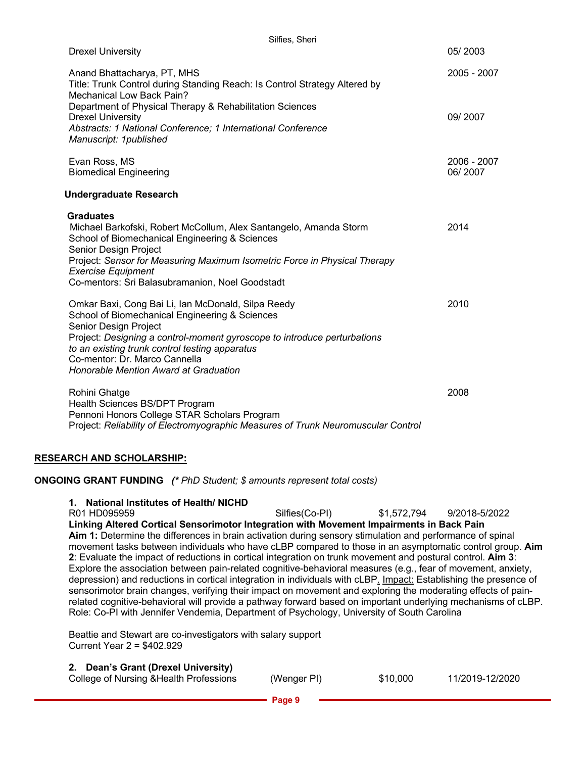|                                                                                                                                                                                                                                                                                                                                       | Silfies, Sheri |                              |
|---------------------------------------------------------------------------------------------------------------------------------------------------------------------------------------------------------------------------------------------------------------------------------------------------------------------------------------|----------------|------------------------------|
| <b>Drexel University</b>                                                                                                                                                                                                                                                                                                              |                | 05/2003                      |
| Anand Bhattacharya, PT, MHS<br>Title: Trunk Control during Standing Reach: Is Control Strategy Altered by<br>Mechanical Low Back Pain?                                                                                                                                                                                                |                | 2005 - 2007                  |
| Department of Physical Therapy & Rehabilitation Sciences<br><b>Drexel University</b><br>Abstracts: 1 National Conference; 1 International Conference<br>Manuscript: 1published                                                                                                                                                        |                | 09/2007                      |
| Evan Ross, MS<br><b>Biomedical Engineering</b>                                                                                                                                                                                                                                                                                        |                | 2006 - 2007<br>06/2007       |
| <b>Undergraduate Research</b>                                                                                                                                                                                                                                                                                                         |                |                              |
| <b>Graduates</b><br>Michael Barkofski, Robert McCollum, Alex Santangelo, Amanda Storm<br>School of Biomechanical Engineering & Sciences<br>Senior Design Project<br>Project: Sensor for Measuring Maximum Isometric Force in Physical Therapy<br><b>Exercise Equipment</b><br>Co-mentors: Sri Balasubramanion, Noel Goodstadt         |                | 2014                         |
| Omkar Baxi, Cong Bai Li, Ian McDonald, Silpa Reedy<br>School of Biomechanical Engineering & Sciences<br>Senior Design Project<br>Project: Designing a control-moment gyroscope to introduce perturbations<br>to an existing trunk control testing apparatus<br>Co-mentor: Dr. Marco Cannella<br>Honorable Mention Award at Graduation |                | 2010                         |
| Rohini Ghatge<br>Health Sciences BS/DPT Program<br>Pennoni Honors College STAR Scholars Program<br>Project: Reliability of Electromyographic Measures of Trunk Neuromuscular Control                                                                                                                                                  |                | 2008                         |
| <b>RESEARCH AND SCHOLARSHIP:</b>                                                                                                                                                                                                                                                                                                      |                |                              |
| <b>ONGOING GRANT FUNDING</b> (* PhD Student; \$ amounts represent total costs)                                                                                                                                                                                                                                                        |                |                              |
| <b>National Institutes of Health/ NICHD</b><br>1.<br>R01 HD095959<br>Linking Altered Cortical Sensorimotor Integration with Movement Impairments in Back Pain<br>Aim 1: Determine the differences in brain activation during sensory stimulation and performance of spinal                                                            | Silfies(Co-PI) | \$1,572,794<br>9/2018-5/2022 |

movement tasks between individuals who have cLBP compared to those in an asymptomatic control group. **Aim 2**: Evaluate the impact of reductions in cortical integration on trunk movement and postural control. **Aim 3**: Explore the association between pain-related cognitive-behavioral measures (e.g., fear of movement, anxiety, depression) and reductions in cortical integration in individuals with cLBP. Impact: Establishing the presence of sensorimotor brain changes, verifying their impact on movement and exploring the moderating effects of painrelated cognitive-behavioral will provide a pathway forward based on important underlying mechanisms of cLBP. Role: Co-PI with Jennifer Vendemia, Department of Psychology, University of South Carolina

Beattie and Stewart are co-investigators with salary support Current Year 2 = \$402.929

|                                                                                | Page 9      |          |                 |
|--------------------------------------------------------------------------------|-------------|----------|-----------------|
| 2. Dean's Grant (Drexel University)<br>College of Nursing & Health Professions | (Wenger PI) | \$10.000 | 11/2019-12/2020 |
| Current Year $2 = $402.929$                                                    |             |          |                 |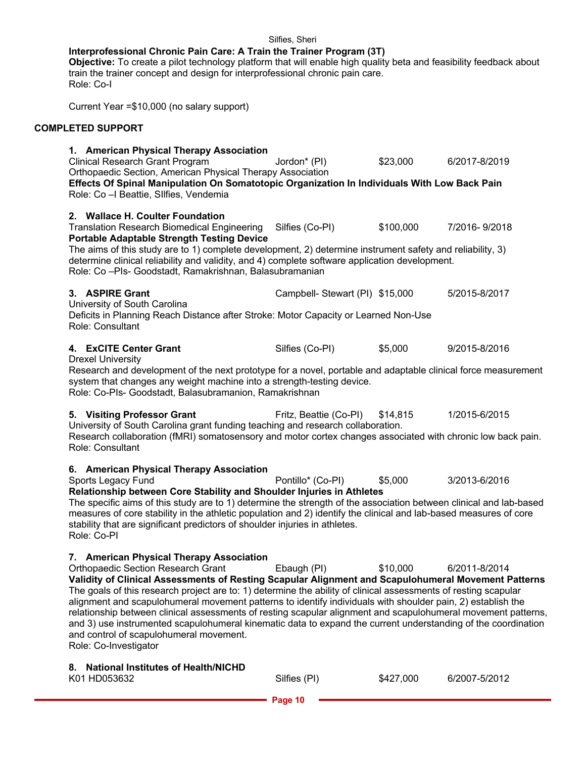|                                                                                                                                                                                                                                                                                                                                                                                                                                                                                                                                                                                                                                                                                                                                                                           | Silfies, Sheri                  |           |               |
|---------------------------------------------------------------------------------------------------------------------------------------------------------------------------------------------------------------------------------------------------------------------------------------------------------------------------------------------------------------------------------------------------------------------------------------------------------------------------------------------------------------------------------------------------------------------------------------------------------------------------------------------------------------------------------------------------------------------------------------------------------------------------|---------------------------------|-----------|---------------|
| Interprofessional Chronic Pain Care: A Train the Trainer Program (3T)<br>Objective: To create a pilot technology platform that will enable high quality beta and feasibility feedback about<br>train the trainer concept and design for interprofessional chronic pain care.<br>Role: Co-I                                                                                                                                                                                                                                                                                                                                                                                                                                                                                |                                 |           |               |
| Current Year = \$10,000 (no salary support)                                                                                                                                                                                                                                                                                                                                                                                                                                                                                                                                                                                                                                                                                                                               |                                 |           |               |
| <b>COMPLETED SUPPORT</b>                                                                                                                                                                                                                                                                                                                                                                                                                                                                                                                                                                                                                                                                                                                                                  |                                 |           |               |
| 1. American Physical Therapy Association<br><b>Clinical Research Grant Program</b><br>Orthopaedic Section, American Physical Therapy Association<br>Effects Of Spinal Manipulation On Somatotopic Organization In Individuals With Low Back Pain<br>Role: Co - I Beattie, SIIfies, Vendemia                                                                                                                                                                                                                                                                                                                                                                                                                                                                               | Jordon* (PI)                    | \$23,000  | 6/2017-8/2019 |
| 2. Wallace H. Coulter Foundation<br><b>Translation Research Biomedical Engineering</b><br><b>Portable Adaptable Strength Testing Device</b><br>The aims of this study are to 1) complete development, 2) determine instrument safety and reliability, 3)<br>determine clinical reliability and validity, and 4) complete software application development.<br>Role: Co-PIs- Goodstadt, Ramakrishnan, Balasubramanian                                                                                                                                                                                                                                                                                                                                                      | Silfies (Co-PI)                 | \$100,000 | 7/2016-9/2018 |
| 3. ASPIRE Grant<br>University of South Carolina<br>Deficits in Planning Reach Distance after Stroke: Motor Capacity or Learned Non-Use<br>Role: Consultant                                                                                                                                                                                                                                                                                                                                                                                                                                                                                                                                                                                                                | Campbell- Stewart (PI) \$15,000 |           | 5/2015-8/2017 |
| 4. ExCITE Center Grant<br><b>Drexel University</b><br>Research and development of the next prototype for a novel, portable and adaptable clinical force measurement<br>system that changes any weight machine into a strength-testing device.<br>Role: Co-PIs- Goodstadt, Balasubramanion, Ramakrishnan                                                                                                                                                                                                                                                                                                                                                                                                                                                                   | Silfies (Co-PI)                 | \$5,000   | 9/2015-8/2016 |
| 5. Visiting Professor Grant<br>University of South Carolina grant funding teaching and research collaboration.<br>Research collaboration (fMRI) somatosensory and motor cortex changes associated with chronic low back pain.<br>Role: Consultant                                                                                                                                                                                                                                                                                                                                                                                                                                                                                                                         | Fritz, Beattie (Co-PI)          | \$14,815  | 1/2015-6/2015 |
| 6. American Physical Therapy Association<br>Sports Legacy Fund<br>Relationship between Core Stability and Shoulder Injuries in Athletes<br>The specific aims of this study are to 1) determine the strength of the association between clinical and lab-based<br>measures of core stability in the athletic population and 2) identify the clinical and lab-based measures of core<br>stability that are significant predictors of shoulder injuries in athletes.<br>Role: Co-PI                                                                                                                                                                                                                                                                                          | Pontillo* (Co-PI)               | \$5,000   | 3/2013-6/2016 |
| 7. American Physical Therapy Association<br>Orthopaedic Section Research Grant<br>Ebaugh (PI)<br>\$10,000<br>6/2011-8/2014<br>Validity of Clinical Assessments of Resting Scapular Alignment and Scapulohumeral Movement Patterns<br>The goals of this research project are to: 1) determine the ability of clinical assessments of resting scapular<br>alignment and scapulohumeral movement patterns to identify individuals with shoulder pain, 2) establish the<br>relationship between clinical assessments of resting scapular alignment and scapulohumeral movement patterns,<br>and 3) use instrumented scapulohumeral kinematic data to expand the current understanding of the coordination<br>and control of scapulohumeral movement.<br>Role: Co-Investigator |                                 |           |               |
| 8. National Institutes of Health/NICHD<br>K01 HD053632                                                                                                                                                                                                                                                                                                                                                                                                                                                                                                                                                                                                                                                                                                                    | Silfies (PI)                    | \$427,000 | 6/2007-5/2012 |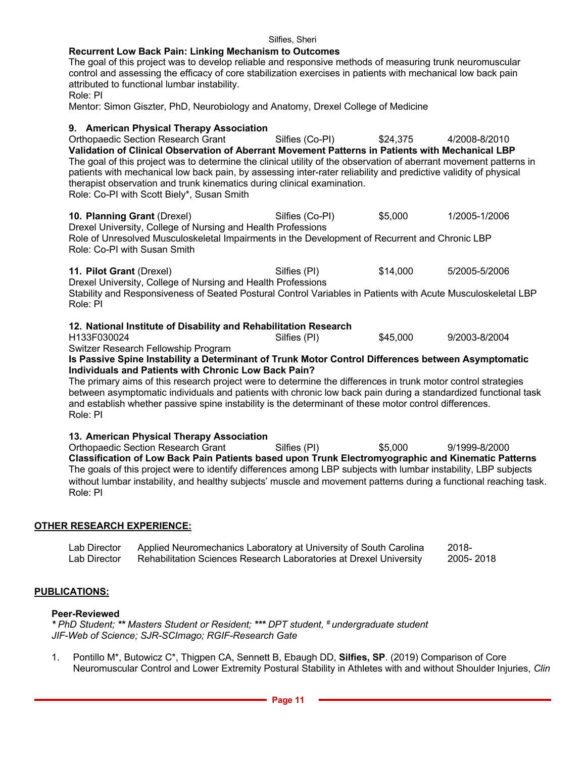# **Recurrent Low Back Pain: Linking Mechanism to Outcomes**

The goal of this project was to develop reliable and responsive methods of measuring trunk neuromuscular control and assessing the efficacy of core stabilization exercises in patients with mechanical low back pain attributed to functional lumbar instability.

Role: PI

Mentor: Simon Giszter, PhD, Neurobiology and Anatomy, Drexel College of Medicine

# **9. American Physical Therapy Association**

Orthopaedic Section Research Grant Silfies (Co-PI) \$24,375 4/2008-8/2010 **Validation of Clinical Observation of Aberrant Movement Patterns in Patients with Mechanical LBP** The goal of this project was to determine the clinical utility of the observation of aberrant movement patterns in patients with mechanical low back pain, by assessing inter-rater reliability and predictive validity of physical therapist observation and trunk kinematics during clinical examination. Role: Co-PI with Scott Biely\*, Susan Smith

**10. Planning Grant** (Drexel) Silfies (Co-PI) \$5,000 1/2005-1/2006 Drexel University, College of Nursing and Health Professions Role of Unresolved Musculoskeletal Impairments in the Development of Recurrent and Chronic LBP Role: Co-PI with Susan Smith

| 11. Pilot Grant (Drexel)                                     | Silfies (PI) | \$14,000 | 5/2005-5/2006 |
|--------------------------------------------------------------|--------------|----------|---------------|
| Drexel University, College of Nursing and Health Professions |              |          |               |

Stability and Responsiveness of Seated Postural Control Variables in Patients with Acute Musculoskeletal LBP Role: PI

# **12. National Institute of Disability and Rehabilitation Research**

| H133F030024                          | Silfies (PI) | \$45,000 | 9/2003-8/2004 |
|--------------------------------------|--------------|----------|---------------|
| Outlines Descend Fellowskin December |              |          |               |

Switzer Research Fellowship Program

**Is Passive Spine Instability a Determinant of Trunk Motor Control Differences between Asymptomatic Individuals and Patients with Chronic Low Back Pain?**

The primary aims of this research project were to determine the differences in trunk motor control strategies between asymptomatic individuals and patients with chronic low back pain during a standardized functional task and establish whether passive spine instability is the determinant of these motor control differences. Role: PI

# **13. American Physical Therapy Association**

| Orthopaedic Section Research Grant                                                                                | Silfies (PI) | \$5.000 | 9/1999-8/2000 |
|-------------------------------------------------------------------------------------------------------------------|--------------|---------|---------------|
| Classification of Low Back Pain Patients based upon Trunk Electromyographic and Kinematic Patterns                |              |         |               |
| The goals of this project were to identify differences among LBP subjects with lumbar instability, LBP subjects   |              |         |               |
| without lumbar instability, and healthy subjects' muscle and movement patterns during a functional reaching task. |              |         |               |
| Role: PI                                                                                                          |              |         |               |

# **OTHER RESEARCH EXPERIENCE:**

| Lab Director | Applied Neuromechanics Laboratory at University of South Carolina  | 2018-     |
|--------------|--------------------------------------------------------------------|-----------|
| Lab Director | Rehabilitation Sciences Research Laboratories at Drexel University | 2005-2018 |

# **PUBLICATIONS:**

# **Peer-Reviewed**

*\* PhD Student; \*\* Masters Student or Resident; \*\*\* DPT student, # undergraduate student JIF-Web of Science; SJR-SCImago; RGIF-Research Gate*

1. Pontillo M\*, Butowicz C\*, Thigpen CA, Sennett B, Ebaugh DD, **Silfies, SP**. (2019) Comparison of Core Neuromuscular Control and Lower Extremity Postural Stability in Athletes with and without Shoulder Injuries, *Clin*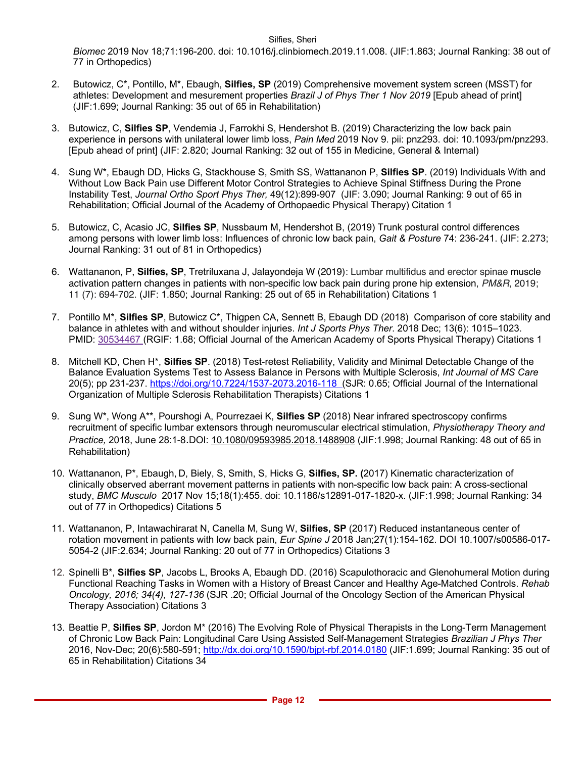*Biomec* 2019 Nov 18;71:196-200. doi: 10.1016/j.clinbiomech.2019.11.008. (JIF:1.863; Journal Ranking: 38 out of 77 in Orthopedics)

- 2. Butowicz, C\*, Pontillo, M\*, Ebaugh, **Silfies, SP** (2019) Comprehensive movement system screen (MSST) for athletes: Development and mesurement properties *Brazil J of Phys Ther 1 Nov 2019* [Epub ahead of print] (JIF:1.699; Journal Ranking: 35 out of 65 in Rehabilitation)
- 3. Butowicz, C, **Silfies SP**, Vendemia J, Farrokhi S, Hendershot B. (2019) Characterizing the low back pain experience in persons with unilateral lower limb loss, *Pain Med* 2019 Nov 9. pii: pnz293. doi: 10.1093/pm/pnz293. [Epub ahead of print] (JIF: 2.820; Journal Ranking: 32 out of 155 in Medicine, General & Internal)
- 4. Sung W\*, Ebaugh DD, Hicks G, Stackhouse S, Smith SS, Wattananon P, **Silfies SP**. (2019) Individuals With and Without Low Back Pain use Different Motor Control Strategies to Achieve Spinal Stiffness During the Prone Instability Test, *Journal Ortho Sport Phys Ther,* 49(12):899-907 (JIF: 3.090; Journal Ranking: 9 out of 65 in Rehabilitation; Official Journal of the Academy of Orthopaedic Physical Therapy) Citation 1
- 5. Butowicz, C, Acasio JC, **Silfies SP**, Nussbaum M, Hendershot B, (2019) Trunk postural control differences among persons with lower limb loss: Influences of chronic low back pain, *Gait & Posture* 74: 236-241. (JIF: 2.273; Journal Ranking: 31 out of 81 in Orthopedics)
- 6. Wattananon, P, **Silfies, SP**, Tretriluxana J, Jalayondeja W (2019): Lumbar multifidus and erector spinae muscle activation pattern changes in patients with non-specific low back pain during prone hip extension, *PM&R*, 2019; 11 (7): 694-702. (JIF: 1.850; Journal Ranking: 25 out of 65 in Rehabilitation) Citations 1
- 7. Pontillo M\*, **Silfies SP**, Butowicz C\*, Thigpen CA, Sennett B, Ebaugh DD (2018) Comparison of core stability and balance in athletes with and without shoulder injuries. *Int J Sports Phys Ther*. 2018 Dec; 13(6): 1015–1023. PMID: 30534467 (RGIF: 1.68; Official Journal of the American Academy of Sports Physical Therapy) Citations 1
- 8. Mitchell KD, Chen H\*, **Silfies SP**. (2018) Test-retest Reliability, Validity and Minimal Detectable Change of the Balance Evaluation Systems Test to Assess Balance in Persons with Multiple Sclerosis, *Int Journal of MS Care* 20(5); pp 231-237. https://doi.org/10.7224/1537-2073.2016-118 (SJR: 0.65; Official Journal of the International Organization of Multiple Sclerosis Rehabilitation Therapists) Citations 1
- 9. Sung W\*, Wong A\*\*, Pourshogi A, Pourrezaei K, **Silfies SP** (2018) Near infrared spectroscopy confirms recruitment of specific lumbar extensors through neuromuscular electrical stimulation, *Physiotherapy Theory and Practice,* 2018, June 28:1-8.DOI: 10.1080/09593985.2018.1488908 (JIF:1.998; Journal Ranking: 48 out of 65 in Rehabilitation)
- 10. Wattananon, P\*, Ebaugh, D, Biely, S, Smith, S, Hicks G, **Silfies, SP. (**2017) Kinematic characterization of clinically observed aberrant movement patterns in patients with non-specific low back pain: A cross-sectional study, *BMC Musculo* 2017 Nov 15;18(1):455. doi: 10.1186/s12891-017-1820-x. (JIF:1.998; Journal Ranking: 34 out of 77 in Orthopedics) Citations 5
- 11. Wattananon, P, Intawachirarat N, Canella M, Sung W, **Silfies, SP** (2017) Reduced instantaneous center of rotation movement in patients with low back pain, *Eur Spine J* 2018 Jan;27(1):154-162. DOI 10.1007/s00586-017- 5054-2 (JIF:2.634; Journal Ranking: 20 out of 77 in Orthopedics) Citations 3
- 12. Spinelli B\*, **Silfies SP**, Jacobs L, Brooks A, Ebaugh DD. (2016) Scapulothoracic and Glenohumeral Motion during Functional Reaching Tasks in Women with a History of Breast Cancer and Healthy Age-Matched Controls. *Rehab Oncology, 2016; 34(4), 127-136* (SJR .20; Official Journal of the Oncology Section of the American Physical Therapy Association) Citations 3
- 13. Beattie P, **Silfies SP**, Jordon M\* (2016) The Evolving Role of Physical Therapists in the Long-Term Management of Chronic Low Back Pain: Longitudinal Care Using Assisted Self-Management Strategies *Brazilian J Phys Ther* 2016, Nov-Dec; 20(6):580-591; http://dx.doi.org/10.1590/bjpt-rbf.2014.0180 (JIF:1.699; Journal Ranking: 35 out of 65 in Rehabilitation) Citations 34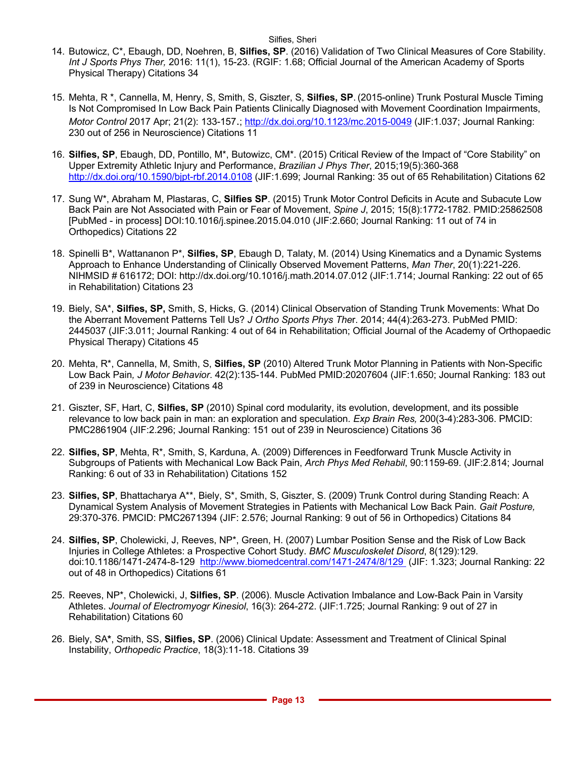- 14. Butowicz, C\*, Ebaugh, DD, Noehren, B, **Silfies, SP**. (2016) Validation of Two Clinical Measures of Core Stability. *Int J Sports Phys Ther,* 2016: 11(1), 15-23. (RGIF: 1.68; Official Journal of the American Academy of Sports Physical Therapy) Citations 34
- 15. Mehta, R \*, Cannella, M, Henry, S, Smith, S, Giszter, S, **Silfies, SP**. (2015-online) Trunk Postural Muscle Timing Is Not Compromised In Low Back Pain Patients Clinically Diagnosed with Movement Coordination Impairments, *Motor Control* 2017 Apr; 21(2): 133-157.; http://dx.doi.org/10.1123/mc.2015-0049 (JIF:1.037; Journal Ranking: 230 out of 256 in Neuroscience) Citations 11
- 16. **Silfies, SP**, Ebaugh, DD, Pontillo, M\*, Butowizc, CM\*. (2015) Critical Review of the Impact of "Core Stability" on Upper Extremity Athletic Injury and Performance, *Brazilian J Phys Ther*, 2015;19(5):360-368 http://dx.doi.org/10.1590/bjpt-rbf.2014.0108 (JIF:1.699; Journal Ranking: 35 out of 65 Rehabilitation) Citations 62
- 17. Sung W\*, Abraham M, Plastaras, C, **Silfies SP**. (2015) Trunk Motor Control Deficits in Acute and Subacute Low Back Pain are Not Associated with Pain or Fear of Movement, *Spine J*, 2015; 15(8):1772-1782. PMID:25862508 [PubMed - in process] DOI:10.1016/j.spinee.2015.04.010 (JIF:2.660; Journal Ranking: 11 out of 74 in Orthopedics) Citations 22
- 18. Spinelli B\*, Wattananon P\*, **Silfies, SP**, Ebaugh D, Talaty, M. (2014) Using Kinematics and a Dynamic Systems Approach to Enhance Understanding of Clinically Observed Movement Patterns, *Man Ther*, 20(1):221-226. NIHMSID # 616172; DOI: http://dx.doi.org/10.1016/j.math.2014.07.012 (JIF:1.714; Journal Ranking: 22 out of 65 in Rehabilitation) Citations 23
- 19. Biely, SA\*, **Silfies, SP,** Smith, S, Hicks, G. (2014) Clinical Observation of Standing Trunk Movements: What Do the Aberrant Movement Patterns Tell Us? *J Ortho Sports Phys The*r. 2014; 44(4):263-273. PubMed PMID: 2445037 (JIF:3.011; Journal Ranking: 4 out of 64 in Rehabilitation; Official Journal of the Academy of Orthopaedic Physical Therapy) Citations 45
- 20. Mehta, R\*, Cannella, M, Smith, S, **Silfies, SP** (2010) Altered Trunk Motor Planning in Patients with Non-Specific Low Back Pain*, J Motor Behavior*. 42(2):135-144. PubMed PMID:20207604 (JIF:1.650; Journal Ranking: 183 out of 239 in Neuroscience) Citations 48
- 21. Giszter, SF, Hart, C, **Silfies, SP** (2010) Spinal cord modularity, its evolution, development, and its possible relevance to low back pain in man: an exploration and speculation. *Exp Brain Res,* 200(3-4):283-306. PMCID: PMC2861904 (JIF:2.296; Journal Ranking: 151 out of 239 in Neuroscience) Citations 36
- 22. **Silfies, SP**, Mehta, R\*, Smith, S, Karduna, A. (2009) Differences in Feedforward Trunk Muscle Activity in Subgroups of Patients with Mechanical Low Back Pain, *Arch Phys Med Rehabil*, 90:1159-69. (JIF:2.814; Journal Ranking: 6 out of 33 in Rehabilitation) Citations 152
- 23. **Silfies, SP**, Bhattacharya A\*\*, Biely, S\*, Smith, S, Giszter, S. (2009) Trunk Control during Standing Reach: A Dynamical System Analysis of Movement Strategies in Patients with Mechanical Low Back Pain. *Gait Posture,* 29:370-376. PMCID: PMC2671394 (JIF: 2.576; Journal Ranking: 9 out of 56 in Orthopedics) Citations 84
- 24. **Silfies, SP**, Cholewicki, J, Reeves, NP\*, Green, H. (2007) Lumbar Position Sense and the Risk of Low Back Injuries in College Athletes: a Prospective Cohort Study. *BMC Musculoskelet Disord*, 8(129):129. doi:10.1186/1471-2474-8-129 http://www.biomedcentral.com/1471-2474/8/129 (JIF: 1.323; Journal Ranking: 22 out of 48 in Orthopedics) Citations 61
- 25. Reeves, NP\*, Cholewicki, J, **Silfies, SP**. (2006). Muscle Activation Imbalance and Low-Back Pain in Varsity Athletes. *Journal of Electromyogr Kinesiol*, 16(3): 264-272. (JIF:1.725; Journal Ranking: 9 out of 27 in Rehabilitation) Citations 60
- 26. Biely, SA**\***, Smith, SS, **Silfies, SP**. (2006) Clinical Update: Assessment and Treatment of Clinical Spinal Instability, *Orthopedic Practice*, 18(3):11-18. Citations 39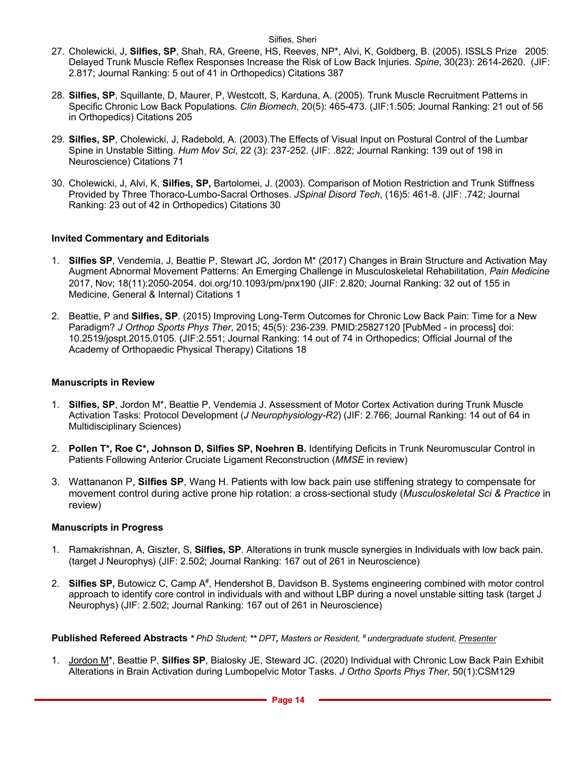- 27. Cholewicki, J, **Silfies, SP**, Shah, RA, Greene, HS, Reeves, NP\*, Alvi, K, Goldberg, B. (2005). ISSLS Prize 2005: Delayed Trunk Muscle Reflex Responses Increase the Risk of Low Back Injuries. *Spine*, 30(23): 2614-2620. (JIF: 2.817; Journal Ranking: 5 out of 41 in Orthopedics) Citations 387
- 28. **Silfies, SP**, Squillante, D, Maurer, P, Westcott, S, Karduna, A. (2005). Trunk Muscle Recruitment Patterns in Specific Chronic Low Back Populations. *Clin Biomech*, 20(5): 465-473. (JIF:1.505; Journal Ranking: 21 out of 56 in Orthopedics) Citations 205
- 29. **Silfies, SP**, Cholewicki, J, Radebold, A. (2003).The Effects of Visual Input on Postural Control of the Lumbar Spine in Unstable Sitting. *Hum Mov Sci*, 22 (3): 237-252. (JIF: .822; Journal Ranking: 139 out of 198 in Neuroscience) Citations 71
- 30. Cholewicki, J, Alvi, K, **Silfies, SP,** Bartolomei, J. (2003). Comparison of Motion Restriction and Trunk Stiffness Provided by Three Thoraco-Lumbo-Sacral Orthoses. *JSpinal Disord Tech*, (16)5: 461-8. (JIF: .742; Journal Ranking: 23 out of 42 in Orthopedics) Citations 30

# **Invited Commentary and Editorials**

- 1. **Silfies SP**, Vendemia, J, Beattie P, Stewart JC, Jordon M\* (2017) Changes in Brain Structure and Activation May Augment Abnormal Movement Patterns: An Emerging Challenge in Musculoskeletal Rehabilitation, *Pain Medicine* 2017, Nov; 18(11):2050-2054. doi.org/10.1093/pm/pnx190 (JIF: 2.820; Journal Ranking: 32 out of 155 in Medicine, General & Internal) Citations 1
- 2. Beattie, P and **Silfies, SP**. (2015) Improving Long-Term Outcomes for Chronic Low Back Pain: Time for a New Paradigm? *J Orthop Sports Phys Ther*, 2015; 45(5): 236-239. PMID:25827120 [PubMed - in process] doi: 10.2519/jospt.2015.0105. (JIF:2.551; Journal Ranking: 14 out of 74 in Orthopedics; Official Journal of the Academy of Orthopaedic Physical Therapy) Citations 18

# **Manuscripts in Review**

- 1. **Silfies, SP**, Jordon M\*, Beattie P, Vendemia J. Assessment of Motor Cortex Activation during Trunk Muscle Activation Tasks: Protocol Development (*J Neurophysiology-R2*) (JIF: 2.766; Journal Ranking: 14 out of 64 in Multidisciplinary Sciences)
- 2. **Pollen T\*, Roe C\*, Johnson D, Silfies SP, Noehren B.** Identifying Deficits in Trunk Neuromuscular Control in Patients Following Anterior Cruciate Ligament Reconstruction (*MMSE* in review)
- 3. Wattananon P, **Silfies SP**, Wang H. Patients with low back pain use stiffening strategy to compensate for movement control during active prone hip rotation: a cross-sectional study (*Musculoskeletal Sci & Practice* in review)

# **Manuscripts in Progress**

- 1. Ramakrishnan, A, Giszter, S, **Silfies, SP**. Alterations in trunk muscle synergies in Individuals with low back pain. (target J Neurophys) (JIF: 2.502; Journal Ranking: 167 out of 261 in Neuroscience)
- 2. **Silfies SP,** Butowicz C, Camp A#, Hendershot B, Davidson B. Systems engineering combined with motor control approach to identify core control in individuals with and without LBP during a novel unstable sitting task (target J Neurophys) (JIF: 2.502; Journal Ranking: 167 out of 261 in Neuroscience)

**Published Refereed Abstracts** *\* PhD Student; \*\* DPT, Masters or Resident, # undergraduate student, Presenter*

1. Jordon M\*, Beattie P, **Silfies SP**, Bialosky JE, Steward JC. (2020) Individual with Chronic Low Back Pain Exhibit Alterations in Brain Activation during Lumbopelvic Motor Tasks. *J Ortho Sports Phys Ther*, 50(1):CSM129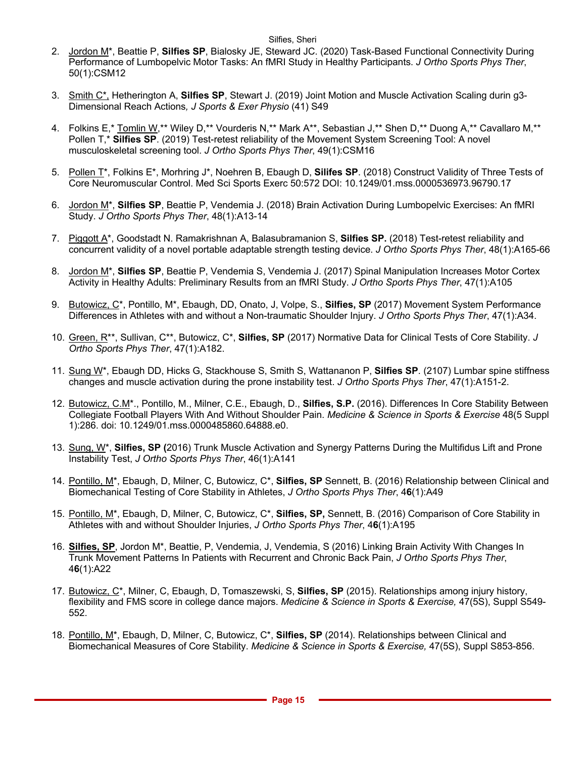- 2. Jordon M\*, Beattie P, **Silfies SP**, Bialosky JE, Steward JC. (2020) Task-Based Functional Connectivity During Performance of Lumbopelvic Motor Tasks: An fMRI Study in Healthy Participants. *J Ortho Sports Phys Ther*, 50(1):CSM12
- 3. Smith C\*, Hetherington A, **Silfies SP**, Stewart J. (2019) Joint Motion and Muscle Activation Scaling durin g3- Dimensional Reach Actions*, J Sports & Exer Physio* (41) S49
- 4. Folkins E,\* Tomlin W,\*\* Wiley D,\*\* Vourderis N,\*\* Mark A\*\*, Sebastian J,\*\* Shen D,\*\* Duong A,\*\* Cavallaro M,\*\* Pollen T,\* **Silfies SP**. (2019) Test-retest reliability of the Movement System Screening Tool: A novel musculoskeletal screening tool. *J Ortho Sports Phys Ther*, 49(1):CSM16
- 5. Pollen T\*, Folkins E\*, Morhring J\*, Noehren B, Ebaugh D, **Silifes SP**. (2018) Construct Validity of Three Tests of Core Neuromuscular Control. Med Sci Sports Exerc 50:572 DOI: 10.1249/01.mss.0000536973.96790.17
- 6. Jordon M\*, **Silfies SP**, Beattie P, Vendemia J. (2018) Brain Activation During Lumbopelvic Exercises: An fMRI Study. *J Ortho Sports Phys Ther*, 48(1):A13-14
- 7. Piggott A\*, Goodstadt N. Ramakrishnan A, Balasubramanion S, **Silfies SP.** (2018) Test-retest reliability and concurrent validity of a novel portable adaptable strength testing device. *J Ortho Sports Phys Ther*, 48(1):A165-66
- 8. Jordon M\*, **Silfies SP**, Beattie P, Vendemia S, Vendemia J. (2017) Spinal Manipulation Increases Motor Cortex Activity in Healthy Adults: Preliminary Results from an fMRI Study. *J Ortho Sports Phys Ther*, 47(1):A105
- 9. Butowicz, C\*, Pontillo, M\*, Ebaugh, DD, Onato, J, Volpe, S., **Silfies, SP** (2017) Movement System Performance Differences in Athletes with and without a Non-traumatic Shoulder Injury. *J Ortho Sports Phys Ther*, 47(1):A34.
- 10. Green, R\*\*, Sullivan, C\*\*, Butowicz, C\*, **Silfies, SP** (2017) Normative Data for Clinical Tests of Core Stability. *J Ortho Sports Phys Ther*, 47(1):A182.
- 11. Sung W\*, Ebaugh DD, Hicks G, Stackhouse S, Smith S, Wattananon P, **Silfies SP**. (2107) Lumbar spine stiffness changes and muscle activation during the prone instability test. *J Ortho Sports Phys Ther*, 47(1):A151-2.
- 12. Butowicz, C.M\*., Pontillo, M., Milner, C.E., Ebaugh, D., **Silfies, S.P.** (2016). Differences In Core Stability Between Collegiate Football Players With And Without Shoulder Pain. *Medicine & Science in Sports & Exercise* 48(5 Suppl 1):286. doi: 10.1249/01.mss.0000485860.64888.e0.
- 13. Sung, W\*, **Silfies, SP (**2016) Trunk Muscle Activation and Synergy Patterns During the Multifidus Lift and Prone Instability Test, *J Ortho Sports Phys Ther*, 46(1):A141
- 14. Pontillo, M\*, Ebaugh, D, Milner, C, Butowicz, C\*, **Silfies, SP** Sennett, B. (2016) Relationship between Clinical and Biomechanical Testing of Core Stability in Athletes, *J Ortho Sports Phys Ther*, 4**6**(1):A49
- 15. Pontillo, M\*, Ebaugh, D, Milner, C, Butowicz, C\*, **Silfies, SP,** Sennett, B. (2016) Comparison of Core Stability in Athletes with and without Shoulder Injuries, *J Ortho Sports Phys Ther*, 4**6**(1):A195
- 16. **Silfies, SP**, Jordon M\*, Beattie, P, Vendemia, J, Vendemia, S (2016) Linking Brain Activity With Changes In Trunk Movement Patterns In Patients with Recurrent and Chronic Back Pain, *J Ortho Sports Phys Ther*, 4**6**(1):A22
- 17. Butowicz, C\*, Milner, C, Ebaugh, D, Tomaszewski, S, **Silfies, SP** (2015). Relationships among injury history, flexibility and FMS score in college dance majors. *Medicine & Science in Sports & Exercise,* 47(5S), Suppl S549- 552.
- 18. Pontillo, M\*, Ebaugh, D, Milner, C, Butowicz, C\*, **Silfies, SP** (2014). Relationships between Clinical and Biomechanical Measures of Core Stability. *Medicine & Science in Sports & Exercise,* 47(5S), Suppl S853-856.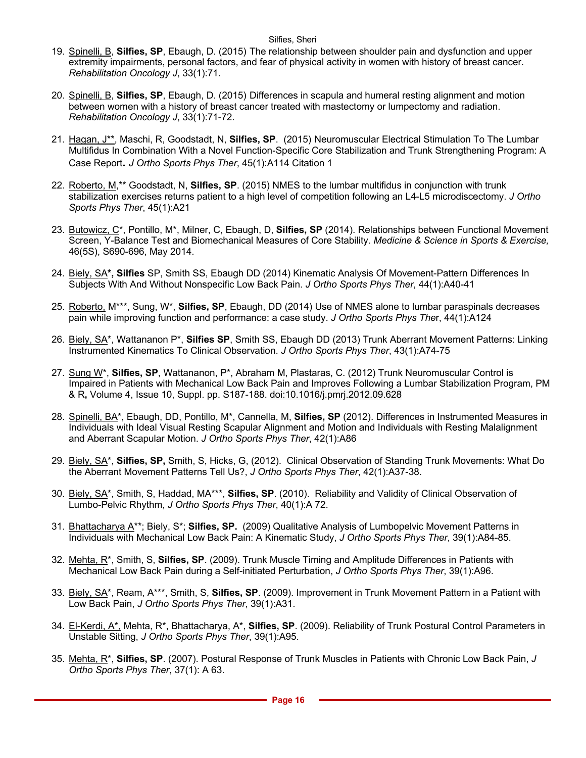- 19. Spinelli, B, **Silfies, SP**, Ebaugh, D. (2015) The relationship between shoulder pain and dysfunction and upper extremity impairments, personal factors, and fear of physical activity in women with history of breast cancer. *Rehabilitation Oncology J*, 33(1):71.
- 20. Spinelli, B, **Silfies, SP**, Ebaugh, D. (2015) Differences in scapula and humeral resting alignment and motion between women with a history of breast cancer treated with mastectomy or lumpectomy and radiation. *Rehabilitation Oncology J*, 33(1):71-72.
- 21. Hagan, J\*\*, Maschi, R, Goodstadt, N, **Silfies, SP**. (2015) Neuromuscular Electrical Stimulation To The Lumbar Multifidus In Combination With a Novel Function-Specific Core Stabilization and Trunk Strengthening Program: A Case Report**.** *J Ortho Sports Phys Ther*, 45(1):A114 Citation 1
- 22. Roberto, M,\*\* Goodstadt, N, **Silfies, SP**. (2015) NMES to the lumbar multifidus in conjunction with trunk stabilization exercises returns patient to a high level of competition following an L4-L5 microdiscectomy. *J Ortho Sports Phys Ther*, 45(1):A21
- 23. Butowicz, C\*, Pontillo, M\*, Milner, C, Ebaugh, D, **Silfies, SP** (2014). Relationships between Functional Movement Screen, Y-Balance Test and Biomechanical Measures of Core Stability. *Medicine & Science in Sports & Exercise,* 46(5S), S690-696, May 2014.
- 24. Biely, SA**\*, Silfies** SP, Smith SS, Ebaugh DD (2014) Kinematic Analysis Of Movement-Pattern Differences In Subjects With And Without Nonspecific Low Back Pain. *J Ortho Sports Phys Ther*, 44(1):A40-41
- 25. Roberto, M\*\*\*, Sung, W\*, **Silfies, SP**, Ebaugh, DD (2014) Use of NMES alone to lumbar paraspinals decreases pain while improving function and performance: a case study. *J Ortho Sports Phys The*r, 44(1):A124
- 26. Biely, SA\*, Wattananon P\*, **Silfies SP**, Smith SS, Ebaugh DD (2013) Trunk Aberrant Movement Patterns: Linking Instrumented Kinematics To Clinical Observation. *J Ortho Sports Phys Ther*, 43(1):A74-75
- 27. Sung W\*, **Silfies, SP**, Wattananon, P\*, Abraham M, Plastaras, C. (2012) Trunk Neuromuscular Control is Impaired in Patients with Mechanical Low Back Pain and Improves Following a Lumbar Stabilization Program, PM & R**,** Volume 4, Issue 10, Suppl. pp. S187-188. doi:10.1016/j.pmrj.2012.09.628
- 28. Spinelli, BA\*, Ebaugh, DD, Pontillo, M\*, Cannella, M, **Silfies, SP** (2012). Differences in Instrumented Measures in Individuals with Ideal Visual Resting Scapular Alignment and Motion and Individuals with Resting Malalignment and Aberrant Scapular Motion. *J Ortho Sports Phys Ther*, 42(1):A86
- 29. Biely, SA\*, **Silfies, SP,** Smith, S, Hicks, G, (2012). Clinical Observation of Standing Trunk Movements: What Do the Aberrant Movement Patterns Tell Us?, *J Ortho Sports Phys Ther*, 42(1):A37-38.
- 30. Biely, SA\*, Smith, S, Haddad, MA\*\*\*, **Silfies, SP**. (2010). Reliability and Validity of Clinical Observation of Lumbo-Pelvic Rhythm, *J Ortho Sports Phys Ther*, 40(1):A 72.
- 31. Bhattacharya A\*\*; Biely, S\*; **Silfies, SP.** (2009) Qualitative Analysis of Lumbopelvic Movement Patterns in Individuals with Mechanical Low Back Pain: A Kinematic Study, *J Ortho Sports Phys Ther*, 39(1):A84-85.
- 32. Mehta, R\*, Smith, S, **Silfies, SP**. (2009). Trunk Muscle Timing and Amplitude Differences in Patients with Mechanical Low Back Pain during a Self-initiated Perturbation, *J Ortho Sports Phys Ther*, 39(1):A96.
- 33. Biely, SA\*, Ream, A\*\*\*, Smith, S, **Silfies, SP**. (2009). Improvement in Trunk Movement Pattern in a Patient with Low Back Pain, *J Ortho Sports Phys Ther*, 39(1):A31.
- 34. El-Kerdi, A\*, Mehta, R\*, Bhattacharya, A\*, **Silfies, SP**. (2009). Reliability of Trunk Postural Control Parameters in Unstable Sitting, *J Ortho Sports Phys Ther*, 39(1):A95.
- 35. Mehta, R\*, **Silfies, SP**. (2007). Postural Response of Trunk Muscles in Patients with Chronic Low Back Pain, *J Ortho Sports Phys Ther*, 37(1): A 63.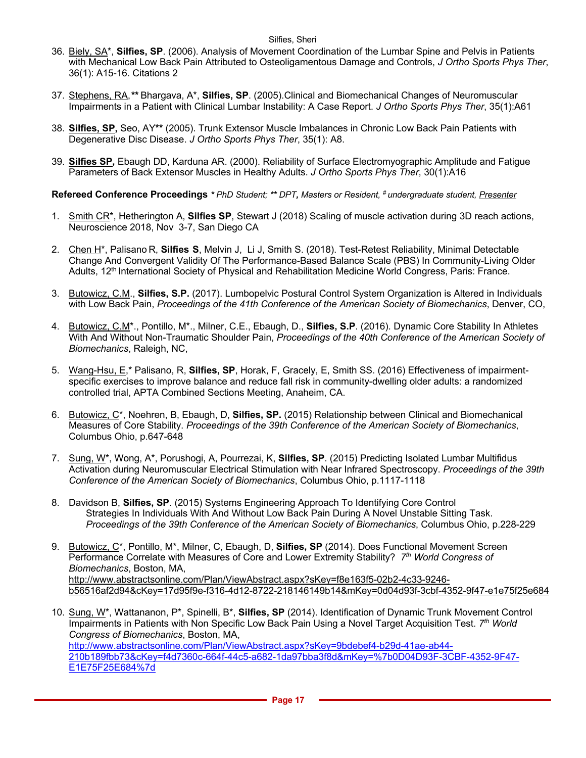- 36. Biely, SA\*, **Silfies, SP**. (2006). Analysis of Movement Coordination of the Lumbar Spine and Pelvis in Patients with Mechanical Low Back Pain Attributed to Osteoligamentous Damage and Controls, *J Ortho Sports Phys Ther*, 36(1): A15-16. Citations 2
- 37. Stephens, RA,*\*\** Bhargava, A\*, **Silfies, SP**. (2005).Clinical and Biomechanical Changes of Neuromuscular Impairments in a Patient with Clinical Lumbar Instability: A Case Report. *J Ortho Sports Phys Ther*, 35(1):A61
- 38. **Silfies, SP,** Seo, AY**\*\*** (2005). Trunk Extensor Muscle Imbalances in Chronic Low Back Pain Patients with Degenerative Disc Disease. *J Ortho Sports Phys Ther*, 35(1): A8.
- 39. **Silfies SP,** Ebaugh DD, Karduna AR. (2000). Reliability of Surface Electromyographic Amplitude and Fatigue Parameters of Back Extensor Muscles in Healthy Adults. *J Ortho Sports Phys Ther*, 30(1):A16

**Refereed Conference Proceedings** *\* PhD Student; \*\* DPT, Masters or Resident, # undergraduate student, Presenter*

- 1. Smith CR\*, Hetherington A, **Silfies SP**, Stewart J (2018) Scaling of muscle activation during 3D reach actions, Neuroscience 2018, Nov 3-7, San Diego CA
- 2. Chen H\*, Palisano R, **Silfies S**, Melvin J, Li J, Smith S. (2018). Test-Retest Reliability, Minimal Detectable Change And Convergent Validity Of The Performance-Based Balance Scale (PBS) In Community-Living Older Adults, 12<sup>th</sup> International Society of Physical and Rehabilitation Medicine World Congress, Paris: France.
- 3. Butowicz, C.M., **Silfies, S.P.** (2017). Lumbopelvic Postural Control System Organization is Altered in Individuals with Low Back Pain, *Proceedings of the 41th Conference of the American Society of Biomechanics*, Denver, CO,
- 4. Butowicz, C.M\*., Pontillo, M\*., Milner, C.E., Ebaugh, D., **Silfies, S.P**. (2016). Dynamic Core Stability In Athletes With And Without Non-Traumatic Shoulder Pain, *Proceedings of the 40th Conference of the American Society of Biomechanics*, Raleigh, NC,
- 5. Wang-Hsu, E,\* Palisano, R, **Silfies, SP**, Horak, F, Gracely, E, Smith SS. (2016) Effectiveness of impairmentspecific exercises to improve balance and reduce fall risk in community-dwelling older adults: a randomized controlled trial, APTA Combined Sections Meeting, Anaheim, CA.
- 6. Butowicz, C\*, Noehren, B, Ebaugh, D, **Silfies, SP.** (2015) Relationship between Clinical and Biomechanical Measures of Core Stability. *Proceedings of the 39th Conference of the American Society of Biomechanics*, Columbus Ohio, p.647-648
- 7. Sung, W\*, Wong, A\*, Porushogi, A, Pourrezai, K, **Silfies, SP**. (2015) Predicting Isolated Lumbar Multifidus Activation during Neuromuscular Electrical Stimulation with Near Infrared Spectroscopy. *Proceedings of the 39th Conference of the American Society of Biomechanics*, Columbus Ohio, p.1117-1118
- 8. Davidson B, **Silfies, SP**. (2015) Systems Engineering Approach To Identifying Core Control Strategies In Individuals With And Without Low Back Pain During A Novel Unstable Sitting Task. *Proceedings of the 39th Conference of the American Society of Biomechanics*, Columbus Ohio, p.228-229
- 9. Butowicz, C\*, Pontillo, M\*, Milner, C, Ebaugh, D, **Silfies, SP** (2014). Does Functional Movement Screen Performance Correlate with Measures of Core and Lower Extremity Stability? *7th World Congress of Biomechanics*, Boston, MA, http://www.abstractsonline.com/Plan/ViewAbstract.aspx?sKey=f8e163f5-02b2-4c33-9246 b56516af2d94&cKey=17d95f9e-f316-4d12-8722-218146149b14&mKey=0d04d93f-3cbf-4352-9f47-e1e75f25e684
- 10. Sung, W\*, Wattananon, P\*, Spinelli, B\*, **Silfies, SP** (2014). Identification of Dynamic Trunk Movement Control Impairments in Patients with Non Specific Low Back Pain Using a Novel Target Acquisition Test. *7th World Congress of Biomechanics*, Boston, MA, http://www.abstractsonline.com/Plan/ViewAbstract.aspx?sKey=9bdebef4-b29d-41ae-ab44- 210b189fbb73&cKey=f4d7360c-664f-44c5-a682-1da97bba3f8d&mKey=%7b0D04D93F-3CBF-4352-9F47- E1E75F25E684%7d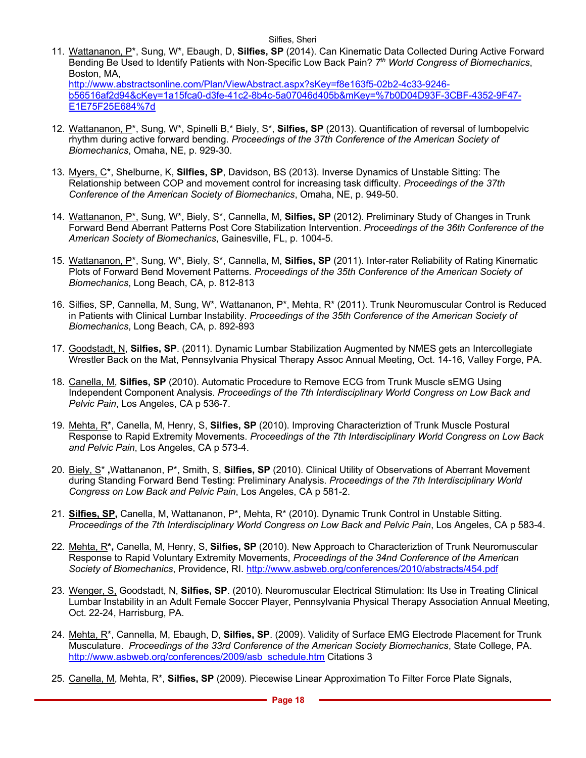11. Wattananon, P\*, Sung, W\*, Ebaugh, D, **Silfies, SP** (2014). Can Kinematic Data Collected During Active Forward Bending Be Used to Identify Patients with Non-Specific Low Back Pain? *7th World Congress of Biomechanics*, Boston, MA, http://www.abstractsonline.com/Plan/ViewAbstract.aspx?sKey=f8e163f5-02b2-4c33-9246 b56516af2d94&cKey=1a15fca0-d3fe-41c2-8b4c-5a07046d405b&mKey=%7b0D04D93F-3CBF-4352-9F47- E1E75F25E684%7d

- 12. Wattananon, P\*, Sung, W\*, Spinelli B,\* Biely, S\*, **Silfies, SP** (2013). Quantification of reversal of lumbopelvic rhythm during active forward bending. *Proceedings of the 37th Conference of the American Society of Biomechanics*, Omaha, NE, p. 929-30.
- 13. Myers, C\*, Shelburne, K, **Silfies, SP**, Davidson, BS (2013). Inverse Dynamics of Unstable Sitting: The Relationship between COP and movement control for increasing task difficulty. *Proceedings of the 37th Conference of the American Society of Biomechanics*, Omaha, NE, p. 949-50.
- 14. Wattananon, P\*, Sung, W\*, Biely, S\*, Cannella, M, **Silfies, SP** (2012). Preliminary Study of Changes in Trunk Forward Bend Aberrant Patterns Post Core Stabilization Intervention. *Proceedings of the 36th Conference of the American Society of Biomechanics*, Gainesville, FL, p. 1004-5.
- 15. Wattananon, P\*, Sung, W\*, Biely, S\*, Cannella, M, **Silfies, SP** (2011). Inter-rater Reliability of Rating Kinematic Plots of Forward Bend Movement Patterns. *Proceedings of the 35th Conference of the American Society of Biomechanics*, Long Beach, CA, p. 812-813
- 16. Silfies, SP, Cannella, M, Sung, W\*, Wattananon, P\*, Mehta, R\* (2011). Trunk Neuromuscular Control is Reduced in Patients with Clinical Lumbar Instability. *Proceedings of the 35th Conference of the American Society of Biomechanics*, Long Beach, CA, p. 892-893
- 17. Goodstadt, N, **Silfies, SP**. (2011). Dynamic Lumbar Stabilization Augmented by NMES gets an Intercollegiate Wrestler Back on the Mat, Pennsylvania Physical Therapy Assoc Annual Meeting, Oct. 14-16, Valley Forge, PA.
- 18. Canella, M, **Silfies, SP** (2010). Automatic Procedure to Remove ECG from Trunk Muscle sEMG Using Independent Component Analysis. *Proceedings of the 7th Interdisciplinary World Congress on Low Back and Pelvic Pain*, Los Angeles, CA p 536-7.
- 19. Mehta, R\*, Canella, M, Henry, S, **Silfies, SP** (2010). Improving Characteriztion of Trunk Muscle Postural Response to Rapid Extremity Movements. *Proceedings of the 7th Interdisciplinary World Congress on Low Back and Pelvic Pain*, Los Angeles, CA p 573-4.
- 20. Biely, S\* **,**Wattananon, P\*, Smith, S, **Silfies, SP** (2010). Clinical Utility of Observations of Aberrant Movement during Standing Forward Bend Testing: Preliminary Analysis. *Proceedings of the 7th Interdisciplinary World Congress on Low Back and Pelvic Pain*, Los Angeles, CA p 581-2.
- 21. **Silfies, SP,** Canella, M, Wattananon, P\*, Mehta, R\* (2010). Dynamic Trunk Control in Unstable Sitting. *Proceedings of the 7th Interdisciplinary World Congress on Low Back and Pelvic Pain*, Los Angeles, CA p 583-4.
- 22. Mehta, R**\*,** Canella, M, Henry, S, **Silfies, SP** (2010). New Approach to Characteriztion of Trunk Neuromuscular Response to Rapid Voluntary Extremity Movements, *Proceedings of the 34nd Conference of the American Society of Biomechanics*, Providence, RI. http://www.asbweb.org/conferences/2010/abstracts/454.pdf
- 23. Wenger, S, Goodstadt, N, **Silfies, SP**. (2010). Neuromuscular Electrical Stimulation: Its Use in Treating Clinical Lumbar Instability in an Adult Female Soccer Player, Pennsylvania Physical Therapy Association Annual Meeting, Oct. 22-24, Harrisburg, PA.
- 24. Mehta, R\*, Cannella, M, Ebaugh, D, **Silfies, SP**. (2009). Validity of Surface EMG Electrode Placement for Trunk Musculature. *Proceedings of the 33rd Conference of the American Society Biomechanics*, State College, PA. http://www.asbweb.org/conferences/2009/asb\_schedule.htm Citations 3
- 25. Canella, M, Mehta, R\*, **Silfies, SP** (2009). Piecewise Linear Approximation To Filter Force Plate Signals,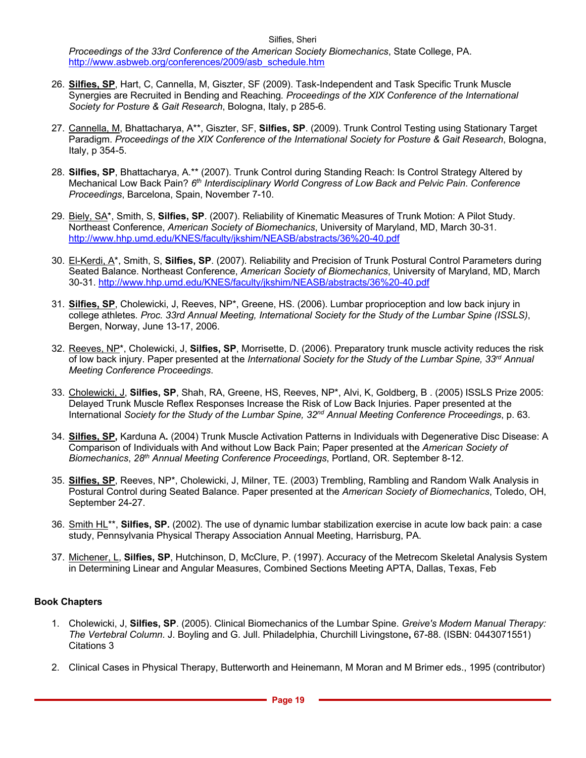*Proceedings of the 33rd Conference of the American Society Biomechanics*, State College, PA. http://www.asbweb.org/conferences/2009/asb\_schedule.htm

- 26. **Silfies, SP**, Hart, C, Cannella, M, Giszter, SF (2009). Task-Independent and Task Specific Trunk Muscle Synergies are Recruited in Bending and Reaching*. Proceedings of the XIX Conference of the International Society for Posture & Gait Research*, Bologna, Italy, p 285-6.
- 27. Cannella, M, Bhattacharya, A\*\*, Giszter, SF, **Silfies, SP**. (2009). Trunk Control Testing using Stationary Target Paradigm. *Proceedings of the XIX Conference of the International Society for Posture & Gait Research*, Bologna, Italy, p 354-5.
- 28. **Silfies, SP**, Bhattacharya, A.\*\* (2007). Trunk Control during Standing Reach: Is Control Strategy Altered by Mechanical Low Back Pain? *6th Interdisciplinary World Congress of Low Back and Pelvic Pain*. *Conference Proceedings*, Barcelona, Spain, November 7-10.
- 29. Biely, SA\*, Smith, S, **Silfies, SP**. (2007). Reliability of Kinematic Measures of Trunk Motion: A Pilot Study. Northeast Conference, *American Society of Biomechanics*, University of Maryland, MD, March 30-31. http://www.hhp.umd.edu/KNES/faculty/jkshim/NEASB/abstracts/36%20-40.pdf
- 30. El-Kerdi, A\*, Smith, S, **Silfies, SP**. (2007). Reliability and Precision of Trunk Postural Control Parameters during Seated Balance. Northeast Conference, *American Society of Biomechanics*, University of Maryland, MD, March 30-31. http://www.hhp.umd.edu/KNES/faculty/jkshim/NEASB/abstracts/36%20-40.pdf
- 31. **Silfies, SP**, Cholewicki, J, Reeves, NP\*, Greene, HS. (2006). Lumbar proprioception and low back injury in college athletes*. Proc. 33rd Annual Meeting, International Society for the Study of the Lumbar Spine (ISSLS)*, Bergen, Norway, June 13-17, 2006.
- 32. Reeves, NP\*, Cholewicki, J, **Silfies, SP**, Morrisette, D. (2006). Preparatory trunk muscle activity reduces the risk of low back injury. Paper presented at the *International Society for the Study of the Lumbar Spine, 33rd Annual Meeting Conference Proceedings*.
- 33. Cholewicki, J, **Silfies, SP**, Shah, RA, Greene, HS, Reeves, NP\*, Alvi, K, Goldberg, B . (2005) ISSLS Prize 2005: Delayed Trunk Muscle Reflex Responses Increase the Risk of Low Back Injuries. Paper presented at the International *Society for the Study of the Lumbar Spine, 32nd Annual Meeting Conference Proceedings*, p. 63.
- 34. **Silfies, SP,** Karduna A**.** (2004) Trunk Muscle Activation Patterns in Individuals with Degenerative Disc Disease: A Comparison of Individuals with And without Low Back Pain; Paper presented at the *American Society of Biomechanics*, *28th Annual Meeting Conference Proceedings*, Portland, OR. September 8-12.
- 35. **Silfies, SP**, Reeves, NP\*, Cholewicki, J, Milner, TE. (2003) Trembling, Rambling and Random Walk Analysis in Postural Control during Seated Balance. Paper presented at the *American Society of Biomechanics*, Toledo, OH, September 24-27.
- 36. Smith HL\*\*, **Silfies, SP.** (2002). The use of dynamic lumbar stabilization exercise in acute low back pain: a case study, Pennsylvania Physical Therapy Association Annual Meeting, Harrisburg, PA.
- 37. Michener, L, **Silfies, SP**, Hutchinson, D, McClure, P. (1997). Accuracy of the Metrecom Skeletal Analysis System in Determining Linear and Angular Measures, Combined Sections Meeting APTA, Dallas, Texas, Feb

# **Book Chapters**

- 1. Cholewicki, J, **Silfies, SP**. (2005). Clinical Biomechanics of the Lumbar Spine. *Greive's Modern Manual Therapy: The Vertebral Column*. J. Boyling and G. Jull. Philadelphia, Churchill Livingstone**,** 67-88. (ISBN: 0443071551) Citations 3
- 2. Clinical Cases in Physical Therapy, Butterworth and Heinemann, M Moran and M Brimer eds., 1995 (contributor)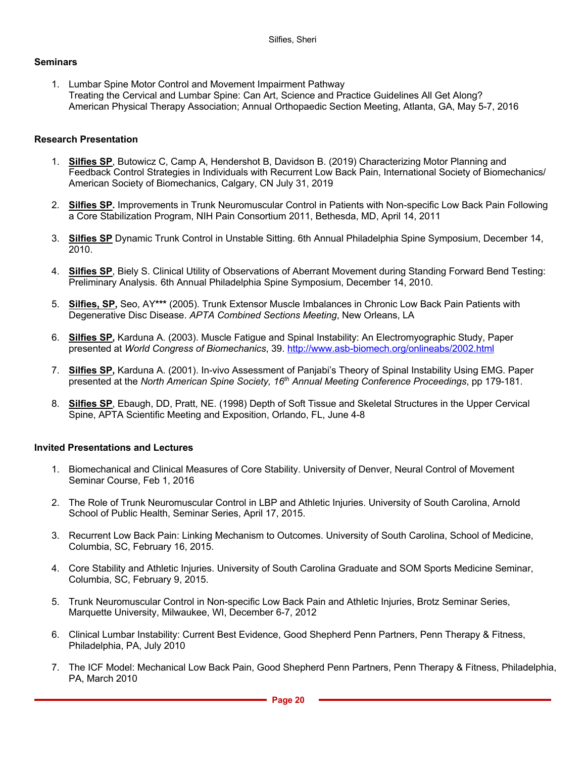# **Seminars**

1. Lumbar Spine Motor Control and Movement Impairment Pathway Treating the Cervical and Lumbar Spine: Can Art, Science and Practice Guidelines All Get Along? American Physical Therapy Association; Annual Orthopaedic Section Meeting, Atlanta, GA, May 5-7, 2016

# **Research Presentation**

- 1. **Silfies SP**, Butowicz C, Camp A, Hendershot B, Davidson B. (2019) Characterizing Motor Planning and Feedback Control Strategies in Individuals with Recurrent Low Back Pain, International Society of Biomechanics/ American Society of Biomechanics, Calgary, CN July 31, 2019
- 2. **Silfies SP.** Improvements in Trunk Neuromuscular Control in Patients with Non-specific Low Back Pain Following a Core Stabilization Program, NIH Pain Consortium 2011, Bethesda, MD, April 14, 2011
- 3. **Silfies SP** Dynamic Trunk Control in Unstable Sitting. 6th Annual Philadelphia Spine Symposium, December 14, 2010.
- 4. **Silfies SP**, Biely S. Clinical Utility of Observations of Aberrant Movement during Standing Forward Bend Testing: Preliminary Analysis. 6th Annual Philadelphia Spine Symposium, December 14, 2010.
- 5. **Silfies, SP,** Seo, AY**\*\*\*** (2005). Trunk Extensor Muscle Imbalances in Chronic Low Back Pain Patients with Degenerative Disc Disease. *APTA Combined Sections Meeting*, New Orleans, LA
- 6. **Silfies SP,** Karduna A. (2003). Muscle Fatigue and Spinal Instability: An Electromyographic Study, Paper presented at *World Congress of Biomechanics*, 39. http://www.asb-biomech.org/onlineabs/2002.html
- 7. **Silfies SP,** Karduna A. (2001). In-vivo Assessment of Panjabi's Theory of Spinal Instability Using EMG. Paper presented at the *North American Spine Society, 16th Annual Meeting Conference Proceedings*, pp 179-181.
- 8. **Silfies SP**, Ebaugh, DD, Pratt, NE. (1998) Depth of Soft Tissue and Skeletal Structures in the Upper Cervical Spine, APTA Scientific Meeting and Exposition, Orlando, FL, June 4-8

# **Invited Presentations and Lectures**

- 1. Biomechanical and Clinical Measures of Core Stability. University of Denver, Neural Control of Movement Seminar Course, Feb 1, 2016
- 2. The Role of Trunk Neuromuscular Control in LBP and Athletic Injuries. University of South Carolina, Arnold School of Public Health, Seminar Series, April 17, 2015.
- 3. Recurrent Low Back Pain: Linking Mechanism to Outcomes. University of South Carolina, School of Medicine, Columbia, SC, February 16, 2015.
- 4. Core Stability and Athletic Injuries. University of South Carolina Graduate and SOM Sports Medicine Seminar, Columbia, SC, February 9, 2015.
- 5. Trunk Neuromuscular Control in Non-specific Low Back Pain and Athletic Injuries, Brotz Seminar Series, Marquette University, Milwaukee, WI, December 6-7, 2012
- 6. Clinical Lumbar Instability: Current Best Evidence, Good Shepherd Penn Partners, Penn Therapy & Fitness, Philadelphia, PA, July 2010
- 7. The ICF Model: Mechanical Low Back Pain, Good Shepherd Penn Partners, Penn Therapy & Fitness, Philadelphia, PA, March 2010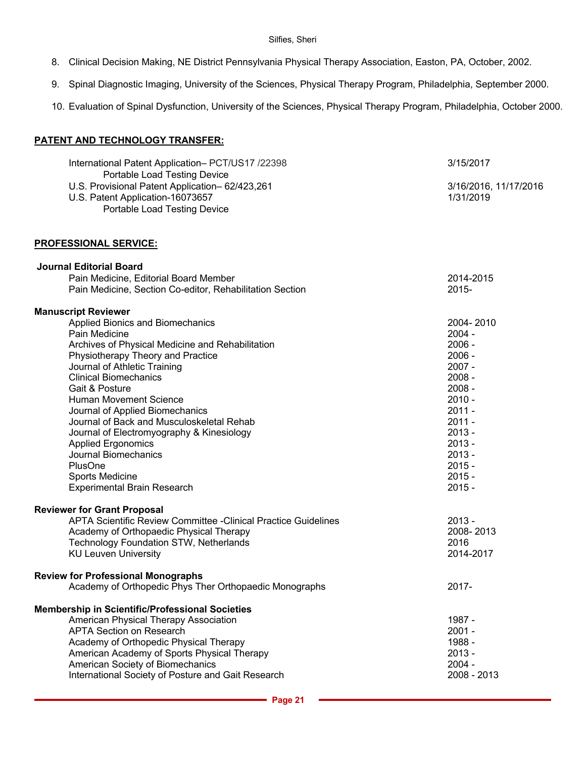- 8. Clinical Decision Making, NE District Pennsylvania Physical Therapy Association, Easton, PA, October, 2002.
- 9. Spinal Diagnostic Imaging, University of the Sciences, Physical Therapy Program, Philadelphia, September 2000.
- 10. Evaluation of Spinal Dysfunction, University of the Sciences, Physical Therapy Program, Philadelphia, October 2000.

# **PATENT AND TECHNOLOGY TRANSFER:**

| International Patent Application- PCT/US17 /22398 | 3/15/2017             |
|---------------------------------------------------|-----------------------|
| Portable Load Testing Device                      |                       |
| U.S. Provisional Patent Application–62/423,261    | 3/16/2016, 11/17/2016 |
| U.S. Patent Application-16073657                  | 1/31/2019             |
| Portable Load Testing Device                      |                       |

#### **PROFESSIONAL SERVICE:**

| <b>Journal Editorial Board</b>                                         |             |
|------------------------------------------------------------------------|-------------|
| Pain Medicine, Editorial Board Member                                  | 2014-2015   |
| Pain Medicine, Section Co-editor, Rehabilitation Section               | $2015 -$    |
| <b>Manuscript Reviewer</b>                                             |             |
| Applied Bionics and Biomechanics                                       | 2004-2010   |
| Pain Medicine                                                          | $2004 -$    |
| Archives of Physical Medicine and Rehabilitation                       | $2006 -$    |
| Physiotherapy Theory and Practice                                      | $2006 -$    |
| Journal of Athletic Training                                           | $2007 -$    |
| <b>Clinical Biomechanics</b>                                           | $2008 -$    |
| Gait & Posture                                                         | $2008 -$    |
| <b>Human Movement Science</b>                                          | $2010 -$    |
| Journal of Applied Biomechanics                                        | $2011 -$    |
| Journal of Back and Musculoskeletal Rehab                              | $2011 -$    |
| Journal of Electromyography & Kinesiology                              | $2013 -$    |
| <b>Applied Ergonomics</b>                                              | $2013 -$    |
| <b>Journal Biomechanics</b>                                            | $2013 -$    |
| PlusOne                                                                | $2015 -$    |
| Sports Medicine                                                        | $2015 -$    |
| <b>Experimental Brain Research</b>                                     | $2015 -$    |
| <b>Reviewer for Grant Proposal</b>                                     |             |
| <b>APTA Scientific Review Committee - Clinical Practice Guidelines</b> | $2013 -$    |
| Academy of Orthopaedic Physical Therapy                                | 2008-2013   |
| Technology Foundation STW, Netherlands                                 | 2016        |
| <b>KU Leuven University</b>                                            | 2014-2017   |
| <b>Review for Professional Monographs</b>                              |             |
| Academy of Orthopedic Phys Ther Orthopaedic Monographs                 | $2017 -$    |
| <b>Membership in Scientific/Professional Societies</b>                 |             |
| American Physical Therapy Association                                  | 1987 -      |
| <b>APTA Section on Research</b>                                        | $2001 -$    |
| Academy of Orthopedic Physical Therapy                                 | 1988 -      |
| American Academy of Sports Physical Therapy                            | $2013 -$    |
| American Society of Biomechanics                                       | $2004 -$    |
| International Society of Posture and Gait Research                     | 2008 - 2013 |
|                                                                        |             |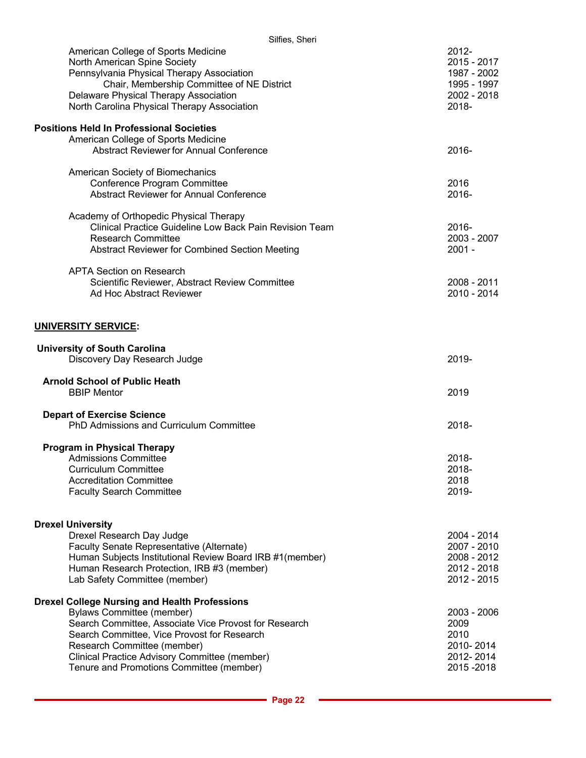| Silfies, Sheri                                                                                                                                                                                                                                                                                                               |                                                                            |
|------------------------------------------------------------------------------------------------------------------------------------------------------------------------------------------------------------------------------------------------------------------------------------------------------------------------------|----------------------------------------------------------------------------|
| American College of Sports Medicine<br>North American Spine Society<br>Pennsylvania Physical Therapy Association<br>Chair, Membership Committee of NE District<br>Delaware Physical Therapy Association<br>North Carolina Physical Therapy Association                                                                       | 2012-<br>2015 - 2017<br>1987 - 2002<br>1995 - 1997<br>2002 - 2018<br>2018- |
| <b>Positions Held In Professional Societies</b><br>American College of Sports Medicine<br><b>Abstract Reviewer for Annual Conference</b>                                                                                                                                                                                     | 2016-                                                                      |
| American Society of Biomechanics<br>Conference Program Committee<br><b>Abstract Reviewer for Annual Conference</b>                                                                                                                                                                                                           | 2016<br>2016-                                                              |
| Academy of Orthopedic Physical Therapy<br>Clinical Practice Guideline Low Back Pain Revision Team<br><b>Research Committee</b><br>Abstract Reviewer for Combined Section Meeting                                                                                                                                             | $2016 -$<br>2003 - 2007<br>$2001 -$                                        |
| <b>APTA Section on Research</b><br>Scientific Reviewer, Abstract Review Committee<br>Ad Hoc Abstract Reviewer                                                                                                                                                                                                                | 2008 - 2011<br>2010 - 2014                                                 |
| <b>UNIVERSITY SERVICE:</b>                                                                                                                                                                                                                                                                                                   |                                                                            |
| <b>University of South Carolina</b><br>Discovery Day Research Judge                                                                                                                                                                                                                                                          | 2019-                                                                      |
| <b>Arnold School of Public Heath</b><br><b>BBIP Mentor</b>                                                                                                                                                                                                                                                                   | 2019                                                                       |
| <b>Depart of Exercise Science</b><br><b>PhD Admissions and Curriculum Committee</b>                                                                                                                                                                                                                                          | 2018-                                                                      |
| <b>Program in Physical Therapy</b><br><b>Admissions Committee</b><br><b>Curriculum Committee</b><br><b>Accreditation Committee</b><br><b>Faculty Search Committee</b>                                                                                                                                                        | 2018-<br>2018-<br>2018<br>2019-                                            |
| <b>Drexel University</b><br>Drexel Research Day Judge<br>Faculty Senate Representative (Alternate)<br>Human Subjects Institutional Review Board IRB #1(member)<br>Human Research Protection, IRB #3 (member)<br>Lab Safety Committee (member)                                                                                | 2004 - 2014<br>2007 - 2010<br>2008 - 2012<br>2012 - 2018<br>2012 - 2015    |
| <b>Drexel College Nursing and Health Professions</b><br><b>Bylaws Committee (member)</b><br>Search Committee, Associate Vice Provost for Research<br>Search Committee, Vice Provost for Research<br>Research Committee (member)<br>Clinical Practice Advisory Committee (member)<br>Tenure and Promotions Committee (member) | 2003 - 2006<br>2009<br>2010<br>2010-2014<br>2012-2014<br>2015 - 2018       |